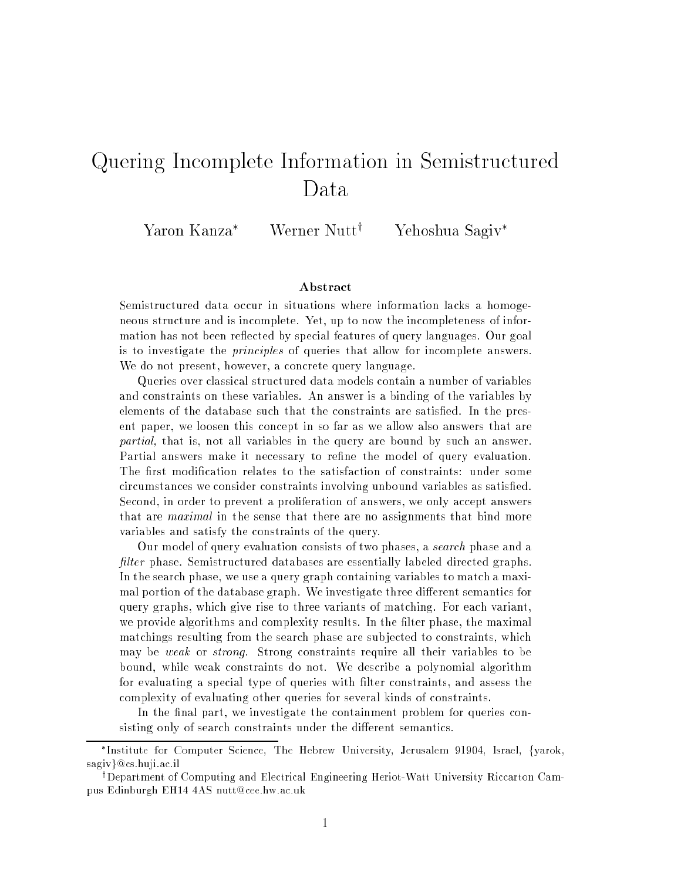# Quering Incomplete Information in Semistructured Data

Yaron Kanza\* Kanza — Werner Nutty — Yehoshua Sagiv

### Abstract

Semistructured data occur in situations where information lacks a homogeneous structure and is incomplete. Yet, up to now the incompleteness of information has not been reflected by special features of query languages. Our goal is to investigate the principles of queries that allow for incomplete answers. We do not present, however, a concrete query language.

Queries over classical structured data models contain a number of variables and constraints on these variables. An answer is a binding of the variables by elements of the database such that the constraints are satised. In the present paper, we loosen this concept in so far as we allow also answers that are partial, that is, not all variables in the query are bound by such an answer. Partial answers make it necessary to refine the model of query evaluation. The first modification relates to the satisfaction of constraints: under some circumstances we consider constraints involving unbound variables as satised. Second, in order to prevent a proliferation of answers, we only accept answers that are *maximal* in the sense that there are no assignments that bind more variables and satisfy the constraints of the query.

Our model of query evaluation consists of two phases, a search phase and a filter phase. Semistructured databases are essentially labeled directed graphs. In the search phase, we use a query graph containing variables to match a maximal portion of the database graph. We investigate three different semantics for query graphs, which give rise to three variants of matching. For each variant, we provide algorithms and complexity results. In the filter phase, the maximal matchings resulting from the search phase are subjected to constraints, which may be weak or strong. Strong constraints require all their variables to be bound, while weak constraints do not. We describe a polynomial algorithm for evaluating a special type of queries with lter constraints, and assess the complexity of evaluating other queries for several kinds of constraints.

In the final part, we investigate the containment problem for queries consisting only of search constraints under the different semantics.

Institute for Computer Science, The Hebrew University, Jerusalem 91904, Israel, fyarok,  $s$ agiv $@cs.hu$ ii.ac.il

<sup>&</sup>lt;sup>†</sup>Department of Computing and Electrical Engineering Heriot-Watt University Riccarton Campus Edinburgh EH14 4AS nutt@cee.hw.ac.uk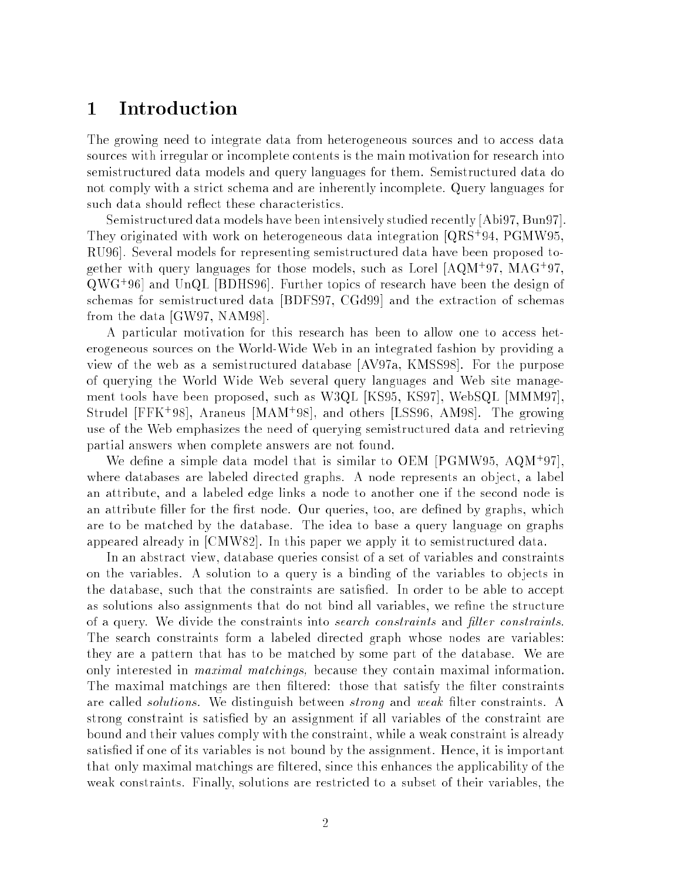## 1 Introduction

The growing need to integrate data from heterogeneous sources and to access data sources with irregular or incomplete contents is the main motivation for research into semistructured data models and query languages for them. Semistructured data do not comply with a strict schema and are inherently incomplete. Query languages for such data should reflect these characteristics.

Semistructured data models have been intensively studied recently [Abi97, Bun97]. They originated with work on heterogeneous data integration [QRS<sup>+</sup> 94, PGMW95, RU96]. Several models for representing semistructured data have been proposed together with query languages for those models, such as Lorel [AQM+97, MAG+97, QWG+ 96] and UnQL [BDHS96]. Further topics of research have been the design of schemas for semistructured data [BDFS97, CGd99] and the extraction of schemas from the data [GW97, NAM98].

A particular motivation for this research has been to allow one to access heterogeneous sources on the World-Wide Web in an integrated fashion by providing a view of the web as a semistructured database [AV97a, KMSS98]. For the purpose of querying the World Wide Web several query languages and Web site management tools have been proposed, such as W3QL [KS95, KS97], WebSQL [MMM97], Strudel [FFK<sup>+</sup> 98], Araneus [MAM<sup>+</sup> 98], and others [LSS96, AM98]. The growing use of the Web emphasizes the need of querying semistructured data and retrieving partial answers when complete answers are not found.

We define a simple data model that is similar to OEM [PGMW95, AQM+97], where databases are labeled directed graphs. A node represents an object, a label an attribute, and a labeled edge links a node to another one if the second node is an attribute filler for the first node. Our queries, too, are defined by graphs, which are to be matched by the database. The idea to base a query language on graphs appeared already in [CMW82]. In this paper we apply it to semistructured data.

In an abstract view, database queries consist of a set of variables and constraints on the variables. A solution to a query is a binding of the variables to ob jects in the database, such that the constraints are satised. In order to be able to accept as solutions also assignments that do not bind all variables, we refine the structure of a query. We divide the constraints into *search constraints* and *filter constraints*. The search constraints form a labeled directed graph whose nodes are variables: they are a pattern that has to be matched by some part of the database. We are only interested in maximal matchings, because they contain maximal information. The maximal matchings are then filtered: those that satisfy the filter constraints are called *solutions*. We distinguish between *strong* and weak filter constraints. A strong constraint is satised by an assignment if all variables of the constraint are bound and their values comply with the constraint, while a weak constraint is already satisfied if one of its variables is not bound by the assignment. Hence, it is important that only maximal matchings are ltered, since this enhances the applicability of the weak constraints. Finally, solutions are restricted to a subset of their variables, the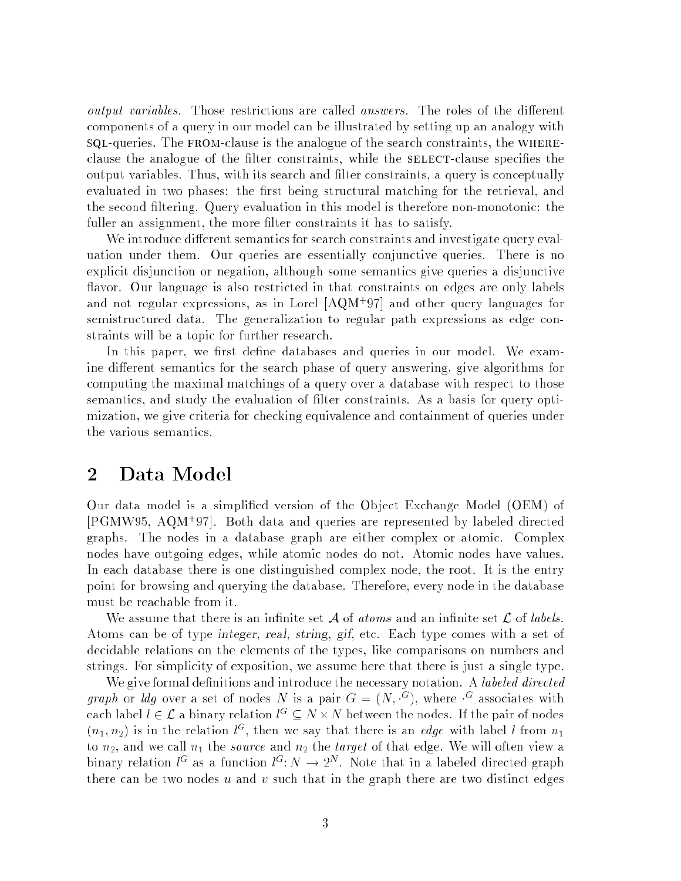output variables. The restrictions are called and those are called the roles of the districtions and components of a query in our model can be illustrated by setting up an analogy with sqL-queries. The FROM-clause is the analogue of the search constraints, the WHEREclause the analogue of the filter constraints, while the SELECT-clause specifies the output variables. Thus, with its search and filter constraints, a query is conceptually evaluated in two phases: the first being structural matching for the retrieval, and the second ltering. Query evaluation in this model is therefore non-monotonic: the fuller an assignment, the more filter constraints it has to satisfy.

We introduce different semantics for search constraints and investigate query evaluation under them. Our queries are essentially conjunctive queries. There is no explicit disjunction or negation, although some semantics give queries a disjunctive flavor. Our language is also restricted in that constraints on edges are only labels and not regular expressions, as in Lorel [AQM<sup>+</sup> 97] and other query languages for semistructured data. The generalization to regular path expressions as edge constraints will be a topic for further research.

In this paper, we first define databases and queries in our model. We examine different semantics for the search phase of query answering, give algorithms for computing the maximal matchings of a query over a database with respect to those semantics, and study the evaluation of filter constraints. As a basis for query optimization, we give criteria for checking equivalence and containment of queries under the various semantics.

## 2 Data Model

Our data model is a simplied version of the Ob ject Exchange Model (OEM) of [PGMW95, AQM<sup>+</sup> 97]. Both data and queries are represented by labeled directed graphs. The nodes in a database graph are either complex or atomic. Complex nodes have outgoing edges, while atomic nodes do not. Atomic nodes have values. In each database there is one distinguished complex node, the root. It is the entry point for browsing and querying the database. Therefore, every node in the database must be reachable from it.

We assume that there is an infinite set  $A$  of *atoms* and an infinite set  $\mathcal L$  of *labels*. Atoms can be of type integer, real, string, gif, etc. Each type comes with a set of decidable relations on the elements of the types, like comparisons on numbers and strings. For simplicity of exposition, we assume here that there is just a single type.

We give formal definitions and introduce the necessary notation. A labeled directed *graph* or ldg over a set of nodes N is a pair  $G = (N, G)$ , where G associates with each label  $l \in \mathcal{L}$  a binary relation  $l^G \subseteq N \times N$  between the nodes. If the pair of nodes  $(n_1, n_2)$  is in the relation  $l^G$ , then we say that there is an *edge* with label l from  $n_1$ to  $n_2$ , and we call  $n_1$  the *source* and  $n_2$  the *target* of that edge. We will often view a binary relation  $l^G$  as a function  $l^G: N \to 2^N$ . Note that in a labeled directed graph there can be two nodes u and v such that in the graph there are two distinct edges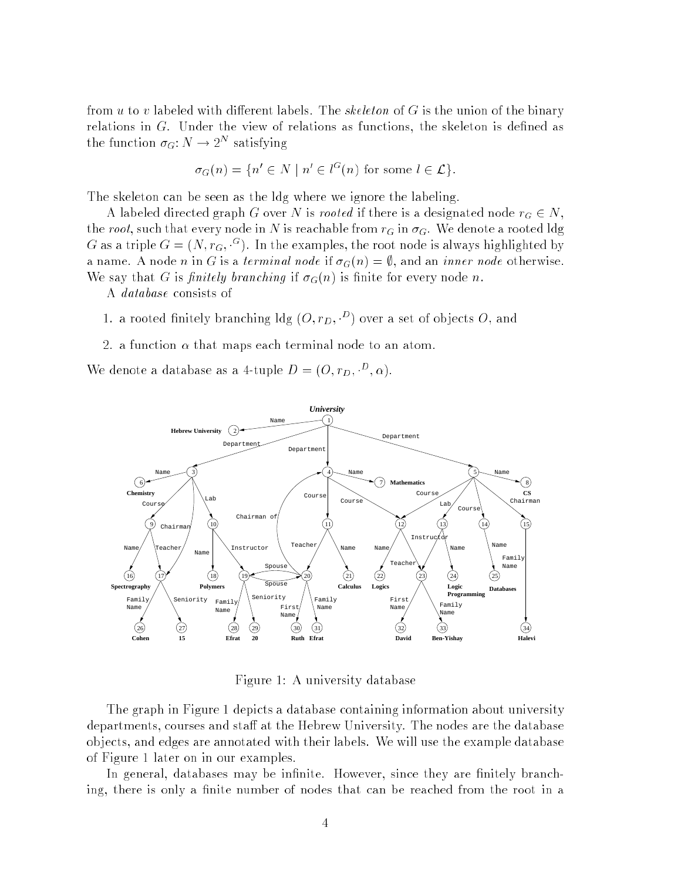from u to v labeled with different labels. The skeleton of G is the union of the binary relations in  $G$ . Under the view of relations as functions, the skeleton is defined as the function  $\sigma_G: N \to 2^N$  satisfying

$$
\sigma_G(n) = \{ n' \in N \mid n' \in l^G(n) \text{ for some } l \in \mathcal{L} \}.
$$

The skeleton can be seen as the ldg where we ignore the labeling.

A labeled directed graph G over N is *rooted* if there is a designated node  $r_G \in N$ , the root, such that every node in N is reachable from  $r_G$  in  $\sigma_G$ . We denote a rooted ldg G as a triple  $G = (N, r_G, \cdot^G)$ . In the examples, the root node is always highlighted by a name. A node n in G is a terminal node if  $\sigma_G(n) = \emptyset$ , and an *inner node* otherwise. We say that G is finitely branching if  $\sigma_G(n)$  is finite for every node n.

A database consists of

- 1. a rooted finitely branching ldg  $(O, r_D, \cdot^D)$  over a set of objects O, and
- 2. a function  $\alpha$  that maps each terminal node to an atom.

We denote a database as a 4-tuple  $D = (O, r_D, \cdot^D, \alpha)$ .



Figure 1: A university database

The graph in Figure 1 depicts a database containing information about university departments, courses and staff at the Hebrew University. The nodes are the database ob jects, and edges are annotated with their labels. We will use the example database of Figure 1 later on in our examples.

In general, databases may be infinite. However, since they are finitely branching, there is only a finite number of nodes that can be reached from the root in a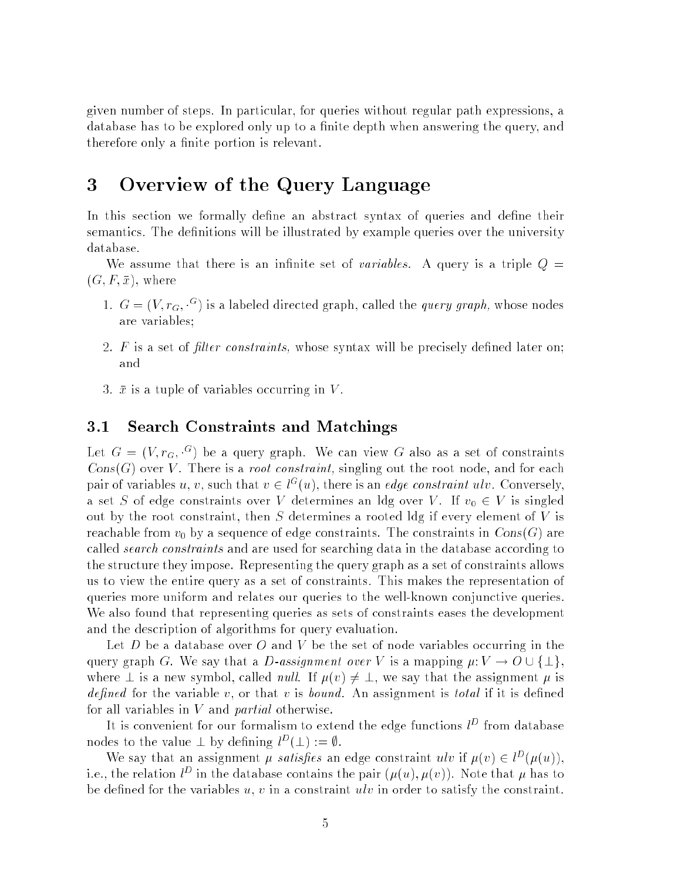given number of steps. In particular, for queries without regular path expressions, a database has to be explored only up to a finite depth when answering the query, and therefore only a finite portion is relevant.

### 3 Overview of the Query Language

In this section we formally define an abstract syntax of queries and define their semantics. The definitions will be illustrated by example queries over the university database.

We assume that there is an infinite set of *variables*. A query is a triple  $Q =$  $(G, F, \bar{x})$ , where

- 1.  $G = (V, r_G, \cdot^G)$  is a labeled directed graph, called the *query graph*, whose nodes are variables: are variables;
- 2.  $F$  is a set of filter constraints, whose syntax will be precisely defined later on; and
- 3.  $\bar{x}$  is a tuple of variables occurring in V.

## 3.1 Search Constraints and Matchings

Let  $G = (V, r_G, \cdot^G)$  be a query graph. We can view G also as a set of constraints  $Cons(G)$  over V. There is a *root constraint*, singling out the root node, and for each pair of variables u, v, such that  $v \in l^G(u)$ , there is an *edge constraint ulv.* Conversely, a set S of edge constraints over V determines an ldg over V. If  $v_0 \in V$  is singled out by the root constraint, then  $S$  determines a rooted ldg if every element of  $V$  is reachable from  $v_0$  by a sequence of edge constraints. The constraints in  $Cons(G)$  are called search constraints and are used for searching data in the database according to the structure they impose. Representing the query graph as a set of constraints allows us to view the entire query as a set of constraints. This makes the representation of queries more uniform and relates our queries to the well-known conjunctive queries. We also found that representing queries as sets of constraints eases the development and the description of algorithms for query evaluation.

Let D be a database over O and V be the set of node variables occurring in the query graph G. We say that a D-assignment over V is a mapping  $\mu: V \to O \cup \{\perp\}$ . where  $\perp$  is a new symbol, called *null.* If  $\mu(v) \neq \perp$ , we say that the assignment  $\mu$  is *defined* for the variable v, or that v is *bound.* An assignment is *total* if it is defined for all variables in  $V$  and *partial* otherwise.

It is convenient for our formalism to extend the edge functions  $l^D$  from database nodes to the value  $\perp$  by defining  $l^D(\perp) := \emptyset$ .

We say that an assignment  $\mu$  satisfies an edge constraint ulv if  $\mu(v) \in l^D(\mu(u)),$ i.e., the relation  $l^D$  in the database contains the pair  $(\mu(u), \mu(v))$ . Note that  $\mu$  has to be defined for the variables  $u, v$  in a constraint  $ulv$  in order to satisfy the constraint.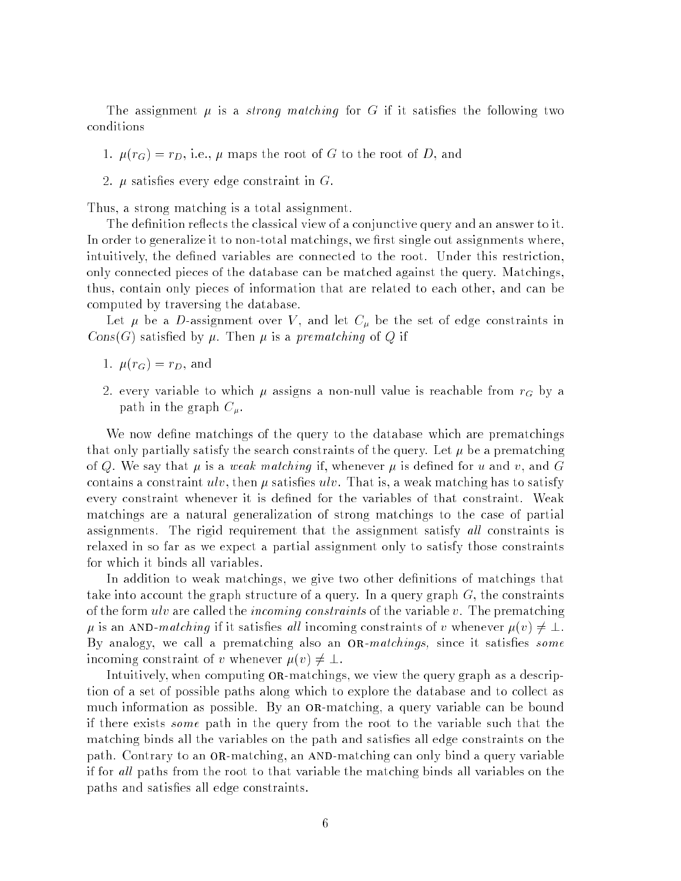The assignment  $\mu$  is a *strong matching* for G if it satisfies the following two conditions

- 1.  $\mu(r_G) = r_D$ , i.e.,  $\mu$  maps the root of G to the root of D, and
- 2.  $\mu$  satisfies every edge constraint in G.

Thus, a strong matching is a total assignment.

The definition reflects the classical view of a conjunctive query and an answer to it. In order to generalize it to non-total matchings, we first single out assignments where. intuitively, the defined variables are connected to the root. Under this restriction. only connected pieces of the database can be matched against the query. Matchings, thus, contain only pieces of information that are related to each other, and can be computed by traversing the database.

Let  $\mu$  be a D-assignment over V, and let  $C_{\mu}$  be the set of edge constraints in  $Cons(G)$  satisfied by  $\mu$ . Then  $\mu$  is a prematching of Q if

- 1.  $\mu(r_G) = r_D$ , and
- 2. every variable to which  $\mu$  assigns a non-null value is reachable from  $r_G$  by a path in the graph  $C_{\mu}$ .

We now define matchings of the query to the database which are prematchings that only partially satisfy the search constraints of the query. Let  $\mu$  be a prematching of Q. We say that  $\mu$  is a *weak matching* if, whenever  $\mu$  is defined for u and v, and G contains a constraint  $ulv$ , then  $\mu$  satisfies  $ulv$ . That is, a weak matching has to satisfy every constraint whenever it is defined for the variables of that constraint. Weak matchings are a natural generalization of strong matchings to the case of partial assignments. The rigid requirement that the assignment satisfy all constraints is relaxed in so far as we expect a partial assignment only to satisfy those constraints for which it binds all variables.

In addition to weak matchings, we give two other definitions of matchings that take into account the graph structure of a query. In a query graph  $G$ , the constraints of the form ulv are called the *incoming constraints* of the variable v. The prematching  $\mu$  is an AND-matching if it satisfies all incoming constraints of v whenever  $\mu(v) \neq \bot$ . By analogy, we call a prematching also an  $OR$ -matchings, since it satisfies some incoming constraint of v whenever  $\mu(v) \neq \bot$ .

Intuitively, when computing  $OR$ -matchings, we view the query graph as a description of a set of possible paths along which to explore the database and to collect as much information as possible. By an  $OR$ -matching, a query variable can be bound if there exists some path in the query from the root to the variable such that the matching binds all the variables on the path and satisfies all edge constraints on the path. Contrary to an OR-matching, an AND-matching can only bind a query variable if for all paths from the root to that variable the matching binds all variables on the paths and satisfies all edge constraints.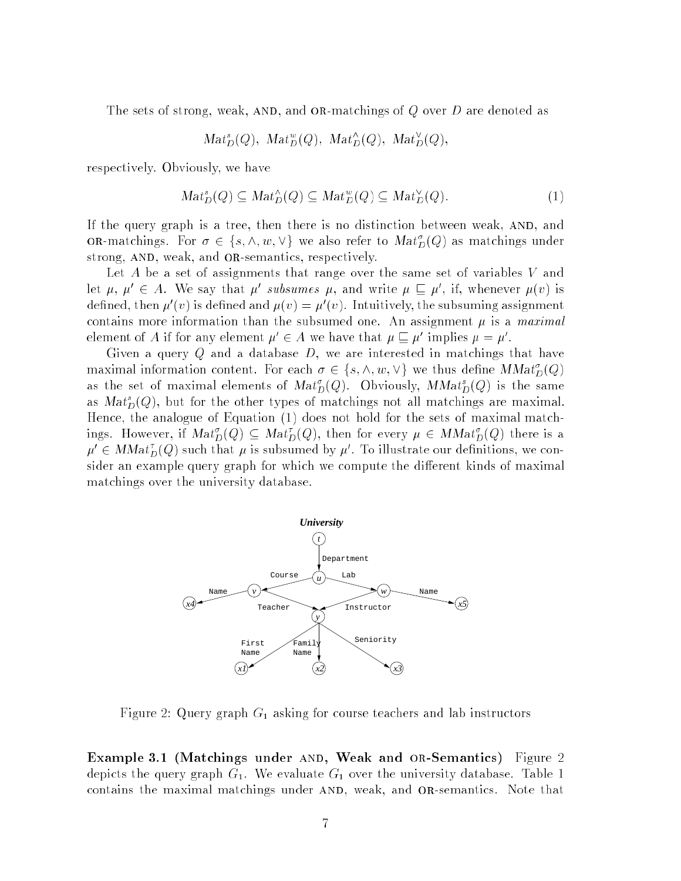The sets of strong, weak, AND, and OR-matchings of  $Q$  over D are denoted as

$$
Mat_D^s(Q), Mat_D^w(Q), Mat_D^{\wedge}(Q), Mat_D^{\vee}(Q),
$$

respectively. Obviously, we have

$$
Mat_D^s(Q) \subseteq Mat_D^{\wedge}(Q) \subseteq Mat_D^w(Q) \subseteq Mat_D^{\vee}(Q). \tag{1}
$$

If the query graph is a tree, then there is no distinction between weak, and, and OR-matchings. For  $\sigma \in \{s, \wedge, w, \vee\}$  we also refer to  $Mat_D^{\sigma}(Q)$  as matchings under strong, AND, weak, and OR-semantics, respectively.

Let A be a set of assignments that range over the same set of variables V and let  $\mu, \mu' \in A$ . We say that  $\mu'$  subsumes  $\mu$ , and write  $\mu \sqsubseteq \mu'$ , if, whenever  $\mu(v)$  is defined, then  $\mu^*(v)$  is defined and  $\mu(v)=\mu^*(v).$  Intuitively, the subsuming assignment contains more information than the subsumed one. An assignment  $\mu$  is a maximal element of A if for any element  $\mu' \in A$  we have that  $\mu \subseteq \mu'$  implies  $\mu = \mu'$ .

Given a query  $Q$  and a database  $D$ , we are interested in matchings that have maximal information content. For each  $\sigma \in \{s, \wedge, w, \vee\}$  we thus define  $MMat_D^{\sigma}(Q)$ as the set of maximal elements of  $\mathit{Mat}_D^{\sigma}(Q)$ . Obviously,  $\mathit{MMat}_D^s(Q)$  is the same as  $Mat_D^s(Q)$ , but for the other types of matchings not all matchings are maximal. Hence, the analogue of Equation (1) does not hold for the sets of maximal matchings. However, if  $Mat_D^{\sigma}(Q) \subseteq Mat_D^{\tau}(Q)$ , then for every  $\mu \in MMat_D^{\sigma}(Q)$  there is a  $\mu' \in MM$ a $t_D^{\tau}(Q)$  such that  $\mu$  is subsumed by  $\mu'$ . To illustrate our definitions, we consider an example query graph for which we compute the different kinds of maximal matchings over the university database.



Figure 2: Query graph  $G_1$  asking for course teachers and lab instructors

Example 3.1 (Matchings under AND, Weak and OR-Semantics) Figure 2 depicts the query graph  $G_1$ . We evaluate  $G_1$  over the university database. Table 1 contains the maximal matchings under AND, weak, and OR-semantics. Note that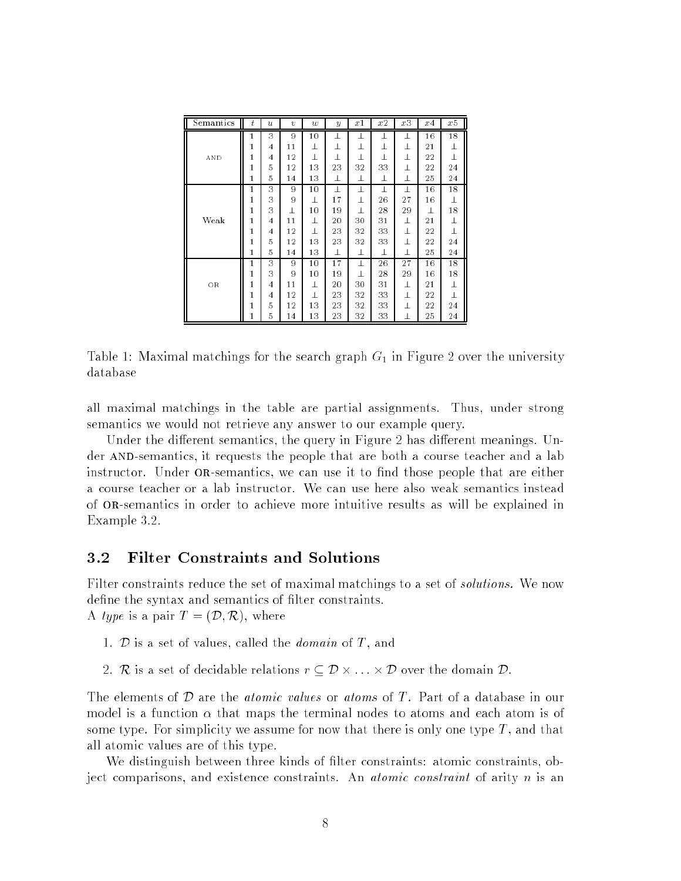| Semantics | ŧ            | $\boldsymbol{u}$ | $\upsilon$ | $\boldsymbol{w}$ | $\overline{y}$ | x1      | x2     | x3      | $x_{4}$ | x5      |
|-----------|--------------|------------------|------------|------------------|----------------|---------|--------|---------|---------|---------|
|           | $\mathbf{1}$ | 3                | 9          | 10               |                | Т       |        | ⊥       | 16      | 18      |
|           | 1            | 4                | 11         | $\bot$           | ⊥              | ⊥       | 丄      | ⊥       | 21      | ⊥       |
| AND       | 1            | 4                | 12         | $\mathbf{1}$     | $\mathbf{I}$   | $\bot$  | $\bot$ | $\bot$  | 22      | $\bot$  |
|           | 1            | 5                | 12         | 13               | 23             | 32      | 33     | ⊥       | 22      | 24      |
|           | 1            | 5                | 14         | 13               | ⊥              | 丄       | ⊥      | ⊥       | 25      | 24      |
|           | 1            | 3                | 9          | 10               | $\perp$        | $\perp$ | ⊥      | $\perp$ | 16      | 18      |
|           | 1            | 3                | 9          | ⊥                | 17             | ⊥       | 26     | 27      | 16      | ⊥       |
|           | 1            | 3                | ⊥          | 10               | 19             | ⊥       | 28     | 29      | ⊥       | 18      |
| Weak      | 1            | 4                | 11         | ⊥                | 20             | 30      | 31     | ⊥       | 21      | ⊥       |
|           | 1            | 4                | 12         | $\bot$           | 23             | 32      | 33     | $\bot$  | 22      | $\bot$  |
|           | 1            | 5                | 12         | 13               | 23             | 32      | 33     | $\bot$  | 22      | 24      |
|           | 1            | 5                | 14         | 13               | ⊥              | ⊥       | ⊥      | 丄       | 25      | 24      |
| OR        | 1            | 3                | 9          | 10               | 17             | ⊥       | 26     | 27      | 16      | 18      |
|           | 1            | 3                | 9          | 10               | 19             | ⊥       | 28     | 29      | 16      | 18      |
|           | 1            | 4                | 11         | ⊥                | 20             | 30      | 31     | ⊥       | 21      | ⊥       |
|           | 1            | 4                | 12         | $\bot$           | 23             | 32      | 33     | ⊥       | 22      | $\perp$ |
|           | 1            | 5                | 12         | 13               | 23             | 32      | 33     | ⊥       | 22      | 24      |
|           | 1            | 5                | 14         | 13               | 23             | 32      | 33     | ⊥       | 25      | 24      |

Table 1: Maximal matchings for the search graph  $G_1$  in Figure 2 over the university database

all maximal matchings in the table are partial assignments. Thus, under strong semantics we would not retrieve any answer to our example query.

Under the different semantics, the query in Figure 2 has different meanings. Under AND-semantics, it requests the people that are both a course teacher and a lab instructor. Under OR-semantics, we can use it to find those people that are either a course teacher or a lab instructor. We can use here also weak semantics instead of OR-semantics in order to achieve more intuitive results as will be explained in Example 3.2.

#### $3.2$ Filter Constraints and Solutions

Filter constraints reduce the set of maximal matchings to a set of *solutions*. We now define the syntax and semantics of filter constraints. A type is a pair  $T = (\mathcal{D}, \mathcal{R})$ , where

- 1.  $D$  is a set of values, called the *domain* of T, and
- 2.  $\kappa$  is a set of decidable relations  $r\subseteq \nu\times \ldots \times \nu$  over the domain  $\nu.$

The elements of  $D$  are the *atomic values* or *atoms* of  $T$ . Part of a database in our model is a function  $\alpha$  that maps the terminal nodes to atoms and each atom is of some type. For simplicity we assume for now that there is only one type  $T$ , and that all atomic values are of this type.

We distinguish between three kinds of filter constraints: atomic constraints, object comparisons, and existence constraints. An *atomic constraint* of arity n is an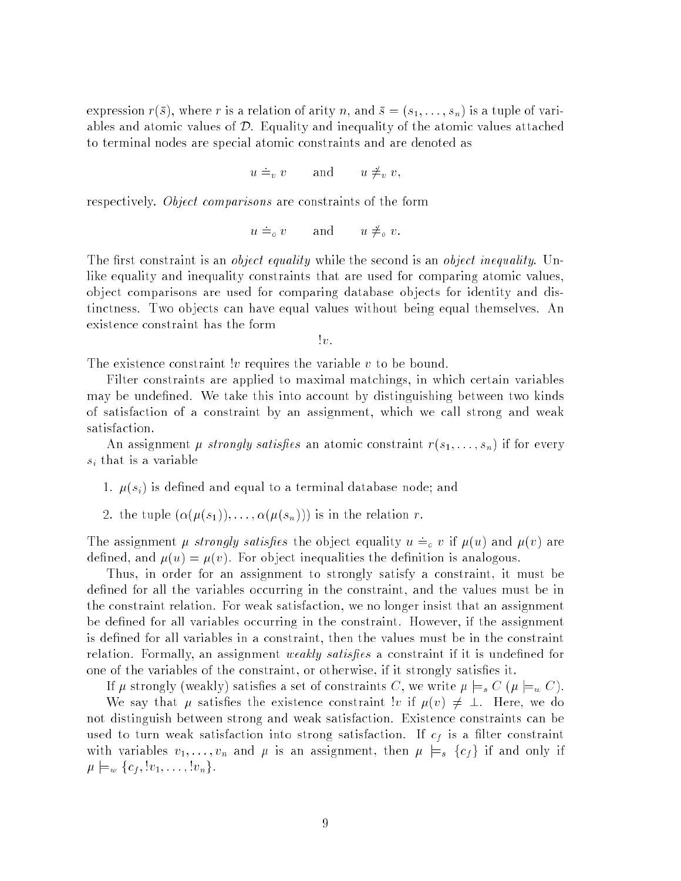expression  $r(\bar{s})$ , where r is a relation of arity n, and  $\bar{s} = (s_1, \ldots, s_n)$  is a tuple of variables and atomic values of  $\mathcal{D}$ . Equality and inequality of the atomic values attached to terminal nodes are special atomic constraints and are denoted as

$$
u \doteq_v v \qquad \text{and} \qquad u \not\equiv_v v,
$$

respectively. Object comparisons are constraints of the form

$$
u \doteq_o v \quad \text{and} \quad u \neq_o v.
$$

The first constraint is an *object equality* while the second is an *object inequality*. Unlike equality and inequality constraints that are used for comparing atomic values, ob ject comparisons are used for comparing database ob jects for identity and distinctness. Two ob jects can have equal values without being equal themselves. An existence constraint has the form

 $|v|$ 

The existence constraint  $\upsilon$  requires the variable  $\upsilon$  to be bound.

Filter constraints are applied to maximal matchings, in which certain variables may be undefined. We take this into account by distinguishing between two kinds of satisfaction of a constraint by an assignment, which we call strong and weak satisfaction.

An assignment  $\mu$  strongly satisfies an atomic constraint  $r(s_1, \ldots, s_n)$  if for every  $s_i$  that is a variable

- 1.  $\mu(s_i)$  is defined and equal to a terminal database node; and
- 2. the tuple  $(\alpha(\mu(s_1)), \ldots, \alpha(\mu(s_n)))$  is in the relation r.

The assignment  $\mu$  strongly satisfies the object equality  $u \doteq_o v$  if  $\mu(u)$  and  $\mu(v)$  are defined, and  $\mu(u) = \mu(v)$ . For object inequalities the definition is analogous.

Thus, in order for an assignment to strongly satisfy a constraint, it must be defined for all the variables occurring in the constraint, and the values must be in the constraint relation. For weak satisfaction, we no longer insist that an assignment be defined for all variables occurring in the constraint. However, if the assignment is defined for all variables in a constraint, then the values must be in the constraint relation. Formally, an assignment *weakly satisfies* a constraint if it is undefined for one of the variables of the constraint, or otherwise, if it strongly satisfies it.

If  $\mu$  strongly (weakly) satisfies a set of constraints C, we write  $\mu \models_{s} C (\mu \models_{w} C)$ .

We say that  $\mu$  satisfies the existence constraint !v if  $\mu(v) \neq \bot$ . Here, we do not distinguish between strong and weak satisfaction. Existence constraints can be used to turn weak satisfaction into strong satisfaction. If  $c_f$  is a filter constraint with variables  $v_1, \ldots, v_n$  and  $\mu$  is an assignment, then  $\mu \models_s \{c_f\}$  if and only if  $\mu \models_w \{c_f, !v_1, \ldots, !v_n\}.$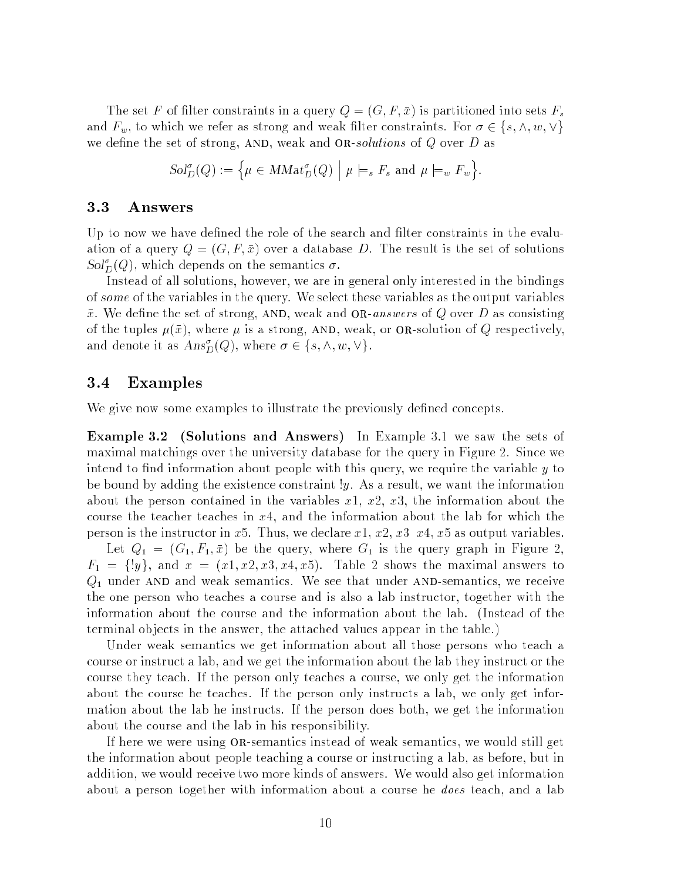The set F of filter constraints in a query  $Q = (G, F, \bar{x})$  is partitioned into sets  $F_s$ and  $F_w$ , to which we refer as strong and weak filter constraints. For  $\sigma \in \{s, \wedge, w, \vee\}$ we define the set of strong, AND, weak and OR-solutions of  $Q$  over  $D$  as

$$
Sol_D^{\sigma}(Q) := \left\{ \mu \in MMat_D^{\sigma}(Q) \; \middle| \; \mu \models_s F_s \text{ and } \mu \models_w F_w \right\}.
$$

### 3.3 Answers

Up to now we have defined the role of the search and filter constraints in the evaluation of a query  $Q = (G, F, \bar{x})$  over a database D. The result is the set of solutions  $Sol_D^{\sigma}(Q)$ , which depends on the semantics  $\sigma$ .

Instead of all solutions, however, we are in general only interested in the bindings of some of the variables in the query. We select these variables as the output variables  $\bar{x}$ . We define the set of strong, AND, weak and OR-answers of Q over D as consisting of the tuples  $\mu(\bar{x})$ , where  $\mu$  is a strong, AND, weak, or OR-solution of Q respectively. and denote it as  $Ans_{D}^{\sigma}(Q)$ , where  $\sigma \in \{s, \wedge, w, \vee\}$ .

## 3.4 Examples

We give now some examples to illustrate the previously defined concepts.

Example 3.2 (Solutions and Answers) In Example 3.1 we saw the sets of maximal matchings over the university database for the query in Figure 2. Since we intend to find information about people with this query, we require the variable  $y$  to be bound by adding the existence constraint  $y$ . As a result, we want the information about the person contained in the variables  $x_1, x_2, x_3$ , the information about the course the teacher teaches in  $x_4$ , and the information about the lab for which the person is the instructor in x5. Thus, we declare x1, x2, x3 x4, x5 as output variables.

Let  $Q_1 = (G_1, F_1, \bar{x})$  be the query, where  $G_1$  is the query graph in Figure 2,  $F_1 = \{y\}$ , and  $\bar{x} = (x1, x2, x3, x4, x5)$ . Table 2 shows the maximal answers to  $Q_1$  under AND and weak semantics. We see that under AND-semantics, we receive the one person who teaches a course and is also a lab instructor, together with the information about the course and the information about the lab. (Instead of the terminal ob jects in the answer, the attached values appear in the table.)

Under weak semantics we get information about all those persons who teach a course or instruct a lab, and we get the information about the lab they instruct or the course they teach. If the person only teaches a course, we only get the information about the course he teaches. If the person only instructs a lab, we only get information about the lab he instructs. If the person does both, we get the information about the course and the lab in his responsibility.

If here we were using OR-semantics instead of weak semantics, we would still get the information about people teaching a course or instructing a lab, as before, but in addition, we would receive two more kinds of answers. We would also get information about a person together with information about a course he *does* teach, and a lab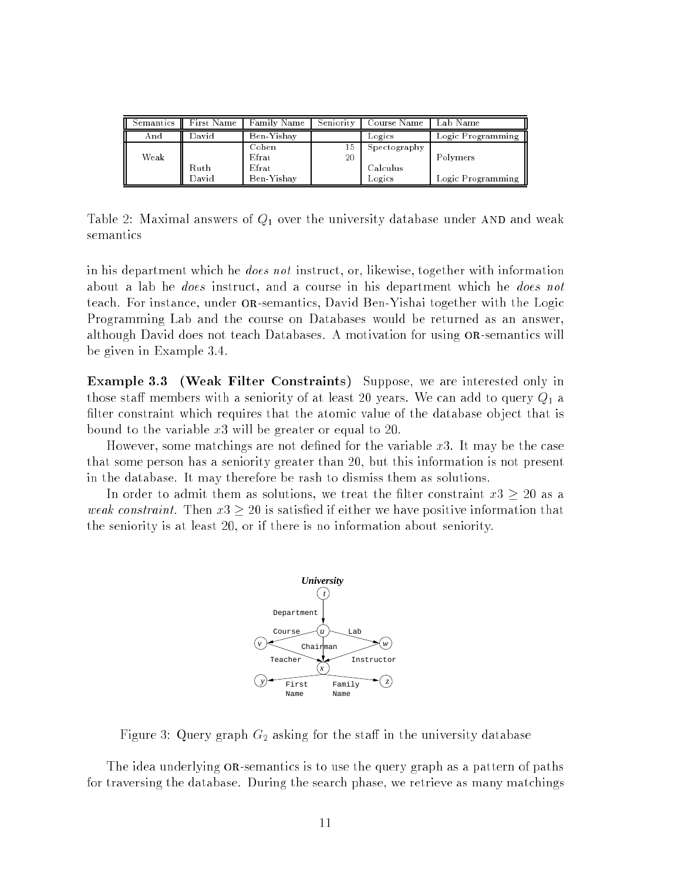| $S$ emantics | First Name     | Family Name | Seniority | Course Name  | Lab Name          |
|--------------|----------------|-------------|-----------|--------------|-------------------|
| And          | David          | Ben-Yishay  |           | Logics       | Logic Programming |
|              |                | Cohen       | 15        | Spectography |                   |
| Weak         |                | $E$ frat    | 20        |              | Polymers          |
|              | Ruth           | $E$ frat    |           | Calculus     |                   |
|              | $\bold{David}$ | Ben-Yishay  |           | Logics       | Logic Programming |

Table 2: Maximal answers of  $Q_1$  over the university database under AND and weak semantics

in his department which he does not instruct, or, likewise, together with information about a lab he *does* instruct, and a course in his department which he *does not* teach. For instance, under OR-semantics, David Ben-Yishai together with the Logic Programming Lab and the course on Databases would be returned as an answer, although David does not teach Databases. A motivation for using OR-semantics will be given in Example 3.4.

Example 3.3 (Weak Filter Constraints) Suppose, we are interested only in those staff members with a seniority of at least 20 years. We can add to query  $Q_1$  a filter constraint which requires that the atomic value of the database object that is bound to the variable  $x3$  will be greater or equal to 20.

However, some matchings are not defined for the variable  $x3$ . It may be the case that some person has a seniority greater than 20, but this information is not present in the database. It may therefore be rash to dismiss them as solutions.

In order to admit them as solutions, we treat the filter constraint  $x3 \geq 20$  as a *weak constraint.* Then  $x_3 > 20$  is satisfied if either we have positive information that the seniority is at least 20, or if there is no information about seniority.



Figure 3: Query graph  $G_2$  asking for the staff in the university database

The idea underlying OR-semantics is to use the query graph as a pattern of paths for traversing the database. During the search phase, we retrieve as many matchings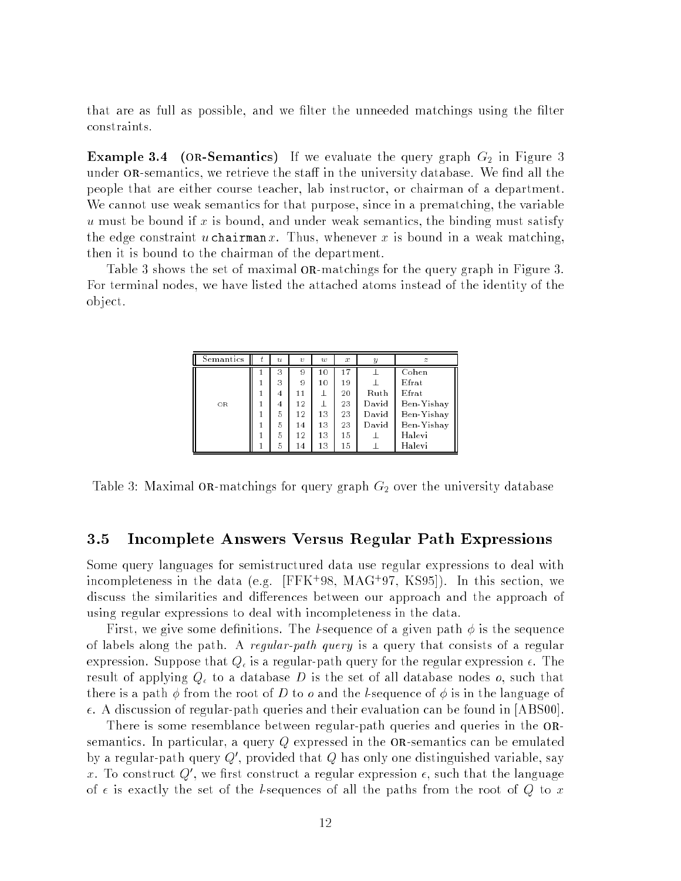that are as full as possible, and we filter the unneeded matchings using the filter constraints.

**Example 3.4** (OR-Semantics) If we evaluate the query graph  $G_2$  in Figure 3 under OR-semantics, we retrieve the staff in the university database. We find all the people that are either course teacher, lab instructor, or chairman of a department. We cannot use weak semantics for that purpose, since in a prematching, the variable u must be bound if x is bound, and under weak semantics, the binding must satisfy the edge constraint u chairman x. Thus, whenever x is bound in a weak matching, then it is bound to the chairman of the department.

Table 3 shows the set of maximal OR-matchings for the query graph in Figure 3. For terminal nodes, we have listed the attached atoms instead of the identity of the ob ject.

| Semantics | t | $\boldsymbol{u}$ | $\boldsymbol{\eta}$ | w  | x  | $\boldsymbol{y}$ | $\tilde{z}$ |
|-----------|---|------------------|---------------------|----|----|------------------|-------------|
|           |   | 3                | 9                   | 10 | 17 |                  | Cohen       |
|           |   | 3                | 9                   | 10 | 19 |                  | $E$ frat    |
|           |   | 4                | 11                  |    | 20 | Ruth             | Efrat       |
| OR        |   | 4                | 12                  |    | 23 | David            | Ben-Yishay  |
|           |   | 5                | 12                  | 13 | 23 | David            | Ben-Yishay  |
|           |   | 5                | 14                  | 13 | 23 | David            | Ben-Yishay  |
|           |   | 5                | 12                  | 13 | 15 |                  | Halevi      |
|           |   | 5                | 14                  | 13 | 15 |                  | Halevi      |

Table 3: Maximal OR-matchings for query graph  $G_2$  over the university database

#### $3.5$ Incomplete Answers Versus Regular Path Expressions

Some query languages for semistructured data use regular expressions to deal with incompleteness in the data (e.g. [FFK<sup>+</sup> 98, MAG<sup>+</sup> 97, KS95]). In this section, we discuss the similarities and differences between our approach and the approach of using regular expressions to deal with incompleteness in the data.

First, we give some definitions. The *l*-sequence of a given path  $\phi$  is the sequence of labels along the path. A regular-path query is a query that consists of a regular expression. Suppose that  $Q_{\epsilon}$  is a regular-path query for the regular expression  $\epsilon$ . The result of applying  $Q_{\epsilon}$  to a database D is the set of all database nodes o, such that there is a path  $\phi$  from the root of D to o and the l-sequence of  $\phi$  is in the language of  $\epsilon$ . A discussion of regular-path queries and their evaluation can be found in [ABS00].

There is some resemblance between regular-path queries and queries in the ORsemantics. In particular, a query  $Q$  expressed in the OR-semantics can be emulated by a regular-path query  $Q'$ , provided that  $Q$  has only one distinguished variable, say x. To construct  $Q'$ , we first construct a regular expression  $\epsilon,$  such that the language of  $\epsilon$  is exactly the set of the l-sequences of all the paths from the root of Q to x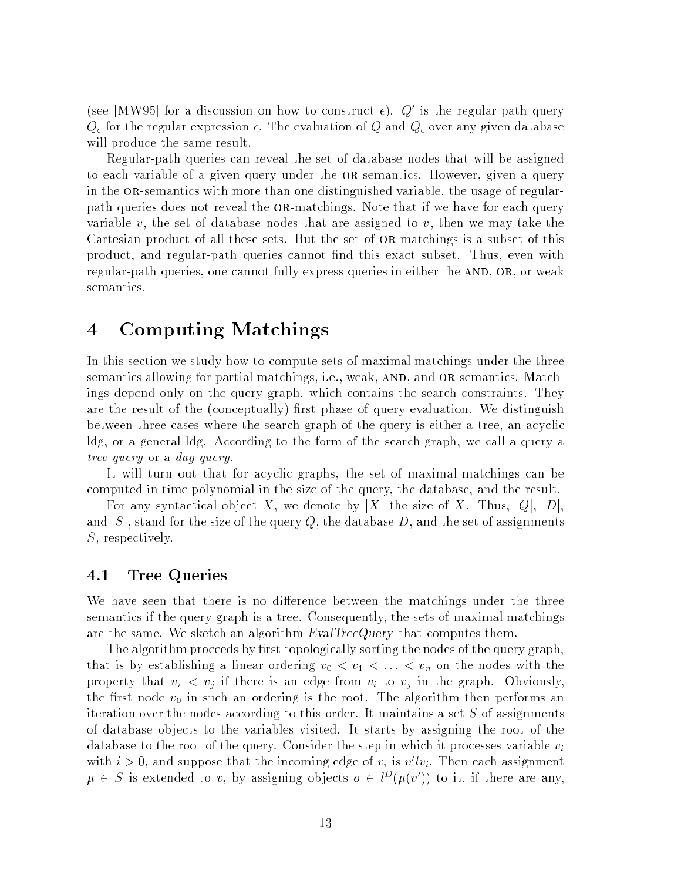(see [MW95] for a discussion on how to construct  $\epsilon$ ). Q' is the regular-path query  $Q_{\epsilon}$  for the regular expression  $\epsilon$ . The evaluation of Q and  $Q_{\epsilon}$  over any given database will produce the same result.

Regular-path queries can reveal the set of database nodes that will be assigned to each variable of a given query under the OR-semantics. However, given a query in the OR-semantics with more than one distinguished variable, the usage of regularpath queries does not reveal the OR-matchings. Note that if we have for each query variable v, the set of database nodes that are assigned to v, then we may take the Cartesian product of all these sets. But the set of OR-matchings is a subset of this product, and regular-path queries cannot find this exact subset. Thus, even with regular-path queries, one cannot fully express queries in either the AND, OR, or weak semantics.

#### $\overline{\mathbf{4}}$ Computing Matchings

In this section we study how to compute sets of maximal matchings under the three semantics allowing for partial matchings, i.e., weak, AND, and OR-semantics. Matchings depend only on the query graph, which contains the search constraints. They are the result of the (conceptually) first phase of query evaluation. We distinguish between three cases where the search graph of the query is either a tree, an acyclic ldg, or a general ldg. According to the form of the search graph, we call a query a tree query or a dag query.

It will turn out that for acyclic graphs, the set of maximal matchings can be computed in time polynomial in the size of the query, the database, and the result.

For any syntactical object X, we denote by |X| the size of X. Thus, |Q|, |D|, and  $|S|$ , stand for the size of the query Q, the database D, and the set of assignments S, respectively.

## 4.1 Tree Queries

We have seen that there is no difference between the matchings under the three semantics if the query graph is a tree. Consequently, the sets of maximal matchings are the same. We sketch an algorithm  $EvalTreeQuery$  that computes them.

The algorithm proceeds by first topologically sorting the nodes of the query graph, that is by establishing a linear ordering  $v_0 < v_1 < \ldots < v_n$  on the nodes with the property that  $v_i < v_j$  if there is an edge from  $v_i$  to  $v_j$  in the graph. Obviously, the first node  $v_0$  in such an ordering is the root. The algorithm then performs an iteration over the nodes according to this order. It maintains a set  $S$  of assignments of database ob jects to the variables visited. It starts by assigning the root of the database to the root of the query. Consider the step in which it processes variable  $v_i$ with  $i > 0$ , and suppose that the incoming edge of  $v_i$  is  $v'_{i}$ . Then each assignment  $\mu \in S$  is extended to  $v_i$  by assigning objects  $o \in l^D(\mu(v'))$  to it, if there are any,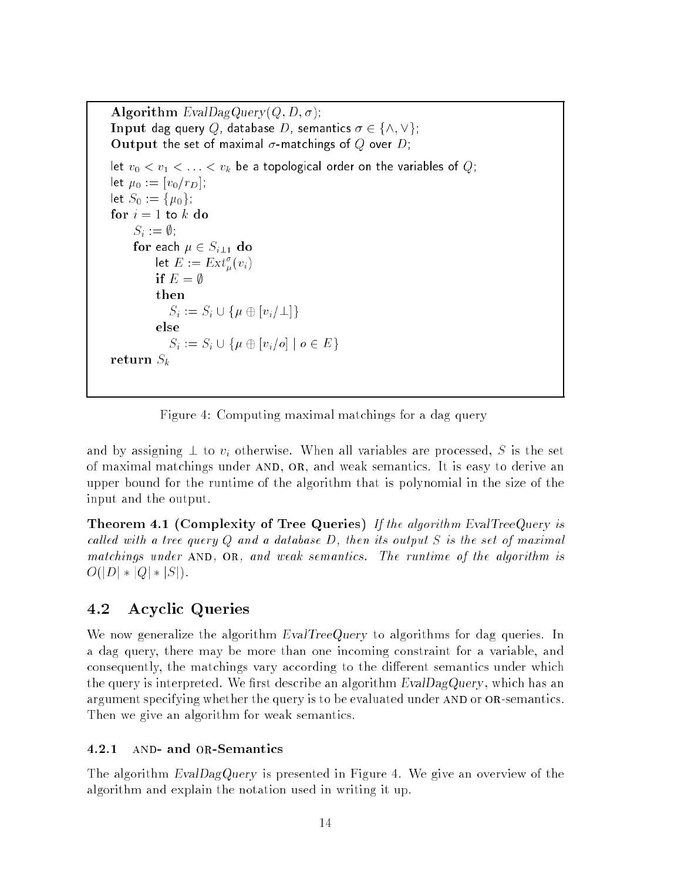Algorithm  $EvalDagQuery(Q, D, \sigma);$ Input dag query Q, database D, semantics  $\sigma \in \{\wedge, \vee\};$ Output the set of maximal  $\sigma$ -matchings of  $Q$  over  $D$ ; let  $v_0 < v_1 < \ldots < v_k$  be a topological order on the variables of  $Q$ ; let  $\mu_0 := [v_0/r_D];$ let  $S_0 := \{\mu_0\};$ for  $i = 1$  to  $k$  do  $S_i := \emptyset;$ for each  $\mu \in S_{i\perp 1}$  do let  $E := Ext^{\sigma}_{\mu}(v_i)$ if  $E = \emptyset$ then  $S_i := S_i \cup \{\mu \oplus [v_i/\bot]\}$ else  $S_i := S_i \cup \{ \mu \oplus [v_i/o] \mid o \in E \}$ return  $S_k$ 

Figure 4: Computing maximal matchings for a dag query

and by assigning  $\perp$  to  $v_i$  otherwise. When all variables are processed, S is the set of maximal matchings under and, or, and weak semantics. It is easy to derive an upper bound for the runtime of the algorithm that is polynomial in the size of the input and the output.

Theorem 4.1 (Complexity of Tree Queries) If the algorithm EvalTreeQuery is called with <sup>a</sup> tree query Q and <sup>a</sup> database D, then its output S is the set of maximal matchings under and, or, and weak semantics. The runtime of the algorithm is  $O(|D| * |Q| * |S|).$ 

## 4.2 Acyclic Queries

We now generalize the algorithm EvalTreeQuery to algorithms for dag queries. In a dag query, there may be more than one incoming constraint for a variable, and consequently, the matchings vary according to the different semantics under which the query is interpreted. We first describe an algorithm  $EvalDagQuery$ , which has an argument specifying whether the query is to be evaluated under AND or OR-semantics. Then we give an algorithm for weak semantics.

#### 4.2.1 AND- and OR-Semantics

The algorithm EvalDagQuery is presented in Figure 4. We give an overview of the algorithm and explain the notation used in writing it up.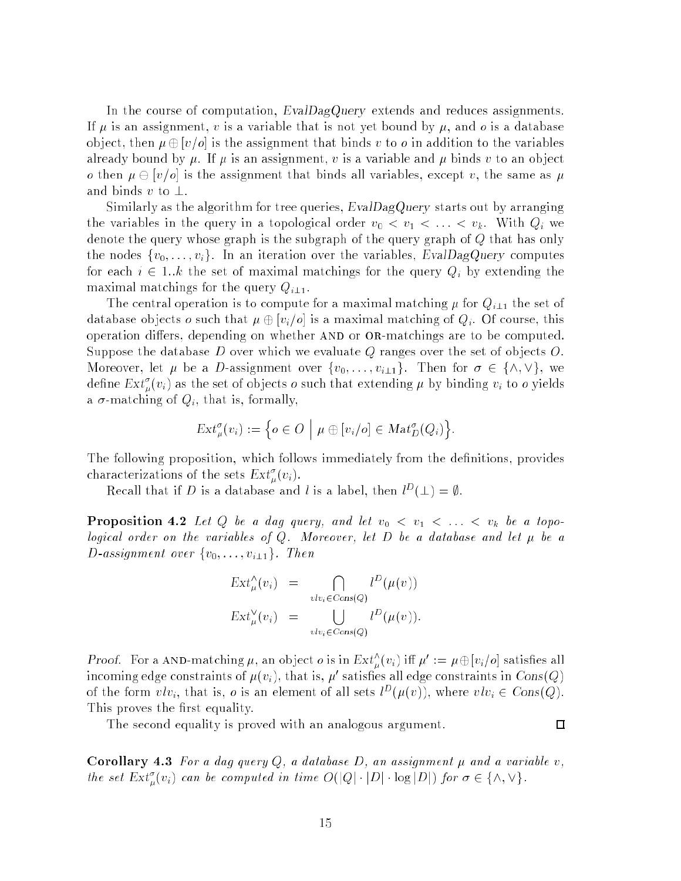In the course of computation, EvalDagQuery extends and reduces assignments. If  $\mu$  is an assignment, v is a variable that is not yet bound by  $\mu$ , and o is a database object, then  $\mu \oplus [v/o]$  is the assignment that binds v to o in addition to the variables already bound by  $\mu$ . If  $\mu$  is an assignment, v is a variable and  $\mu$  binds v to an object o then  $\mu \ominus [v/o]$  is the assignment that binds all variables, except v, the same as  $\mu$ and binds v to  $\perp$ .

Similarly as the algorithm for tree queries, EvalDagQuery starts out by arranging the variables in the query in a topological order  $v_0 < v_1 < \ldots < v_k$ . With  $Q_i$  we denote the query whose graph is the subgraph of the query graph of Q that has only the nodes  $\{v_0, \ldots, v_i\}$ . In an iteration over the variables, EvalDagQuery computes for each  $i \in 1..k$  the set of maximal matchings for the query  $Q_i$  by extending the maximal matchings for the query  $Q_{i\perp 1}$ .

The central operation is to compute for a maximal matching  $\mu$  for  $Q_{i\perp 1}$  the set of database objects o such that  $\mu \oplus [v_i/o]$  is a maximal matching of  $Q_i$ . Of course, this operation differs, depending on whether AND or OR-matchings are to be computed. Suppose the database  $D$  over which we evaluate  $Q$  ranges over the set of objects  $O$ . Moreover, let  $\mu$  be a D-assignment over  $\{v_0, \ldots, v_{i\perp 1}\}\$ . Then for  $\sigma \in \{\wedge, \vee\}$ , we define  $\textit{Ext}^{\cdot}_{u}(v_{i})$  as the set of objects  $o$  such that extending  $\mu$  by binding  $v_{i}$  to  $o$  yields a  $\sigma$ -matching of  $Q_i$ , that is, formally,

$$
Ext_{\mu}^{\sigma}(v_i) := \Big\{ o \in O \mid \mu \oplus [v_i/o] \in Mat_D^{\sigma}(Q_i) \Big\}.
$$

The following proposition, which follows immediately from the definitions, provides characterizations of the sets  $\mathit{Ext}^+_u(v_i).$ 

Recall that if D is a database and l is a label, then  $l^D(\perp) = \emptyset$ .

Proposition 4.2 Let Q be a dag query, and let  $v_0 < v_1 < \ldots < v_k$  be a topological order on the variables of Q. Moreover, let D be a database and let  $\mu$  be a D-assignment over  $\{v_0, \ldots, v_{i+1}\}\$ . Then

$$
Ext_{\mu}^{\wedge}(v_i) = \bigcap_{vlv_i \in Cons(Q)} l^D(\mu(v))
$$
  

$$
Ext_{\mu}^{\vee}(v_i) = \bigcup_{vlv_i \in Cons(Q)} l^D(\mu(v)).
$$

*Proof.* For a AND-matching  $\mu$ , an object *o* is in  $Ext_{\mu}^{\wedge}(v_i)$  iff  $\mu' := \mu \oplus [v_i/o]$  satisfies all incoming edge constraints of  $\mu(v_i),$  that is,  $\mu'$  satisfies all edge constraints in  $Cons(Q)$ of the form  $vlv_i$ , that is, *o* is an element of all sets  $l^D(\mu(v))$ , where  $vlv_i \in Cons(Q)$ . This proves the first equality.

The second equality is proved with an analogous argument.

**Corollary 4.3** For a dag query Q, a database D, an assignment  $\mu$  and a variable v, the set  $Ext_u^{\sigma}(v_i)$  can be computed in time  $O(|Q| \cdot |D| \cdot \log |D|)$  for  $\sigma \in \{\wedge, \vee\}.$ 

 $\Box$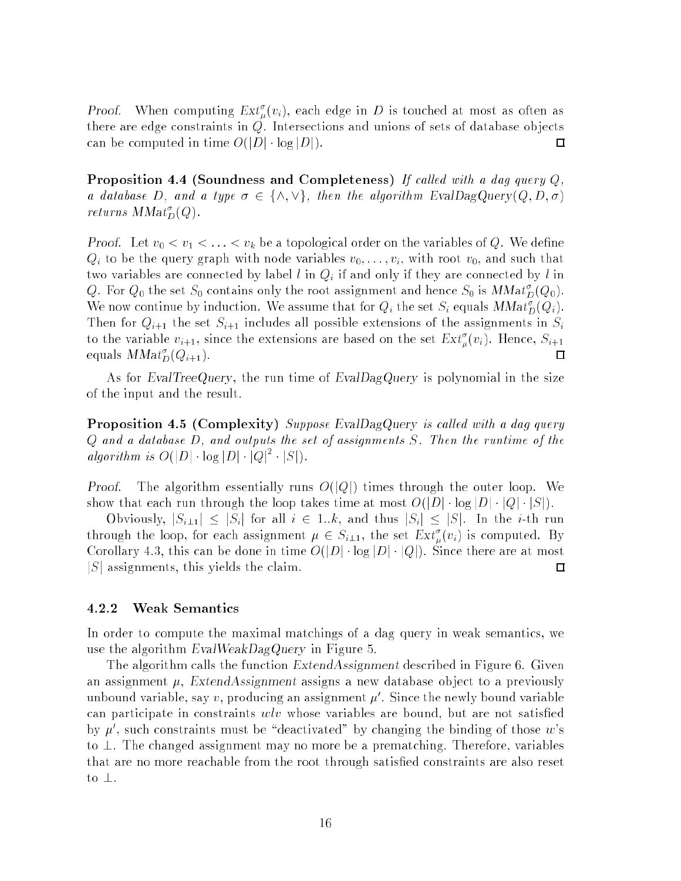**Proof.** When computing  $Ext_u^{\sigma}(v_i)$ , each edge in D is touched at most as often as there are edge constraints in  $Q$ . Intersections and unions of sets of database objects can be computed in time  $O(|D| \cdot \log |D|)$ .  $\Box$ 

**Proposition 4.4 (Soundness and Completeness)** If called with a dag query  $Q$ , a database D, and a type  $\sigma \in \{\wedge, \vee\}$ , then the algorithm EvalDagQuery $(Q, D, \sigma)$ returns  $MMat_D^{\sigma}(Q)$ .

*Proof.* Let  $v_0 < v_1 < \ldots < v_k$  be a topological order on the variables of Q. We define  $Q_i$  to be the query graph with node variables  $v_0, \ldots, v_i$ , with root  $v_0$ , and such that two variables are connected by label  $l$  in  $Q_i$  if and only if they are connected by  $l$  in Q. For  $Q_0$  the set  $S_0$  contains only the root assignment and hence  $S_0$  is  $M Mat_D^{\sigma}(Q_0)$ . We now continue by induction. We assume that for  $Q_i$  the set  $S_i$  equals  $MMat_D^{\sigma}(Q_i)$ . Then for  $Q_{i+1}$  the set  $S_{i+1}$  includes all possible extensions of the assignments in  $S_i$ to the variable  $v_{i+1}$ , since the extensions are based on the set  $Ext^{\sigma}_{\mu}(v_i)$ . Hence,  $S_{i+1}$ equals  $MMat_D^{\sigma}(Q_{i+1}).$  $\square$ 

As for EvalTreeQuery, the run time of EvalDagQuery is polynomial in the size of the input and the result.

Proposition 4.5 (Complexity) Suppose EvalDagQuery is called with a dag query Q and <sup>a</sup> database D, and outputs the set of assignments S. Then the runtime of the algorithm is  $O(|D| \cdot \log |D| \cdot |Q|^2 \cdot |S|)$ .

*Proof.* The algorithm essentially runs  $O(|Q|)$  times through the outer loop. We show that each run through the loop takes time at most  $O(|D| \cdot \log |D| \cdot |Q| \cdot |S|)$ .

Obviously,  $|S_{i+1}| \leq |S_i|$  for all  $i \in 1..k$ , and thus  $|S_i| \leq |S|$ . In the *i*-th run through the loop, for each assignment  $\mu \in S_{i\perp 1}$ , the set  $Ext^{\sigma}_{\mu}(v_i)$  is computed. By Corollary 4.3, this can be done in time  $O(|D| \cdot \log |D| \cdot |Q|)$ . Since there are at most  $|S|$  assignments, this yields the claim.  $\Box$ 

### 4.2.2 Weak Semantics

In order to compute the maximal matchings of a dag query in weak semantics, we use the algorithm EvalWeakDagQuery in Figure 5.

The algorithm calls the function ExtendAssignment described in Figure 6. Given an assignment  $\mu$ , ExtendAssignment assigns a new database object to a previously unbound variable, say  $v,$  producing an assignment  $\mu$  . Since the newly bound variable can participate in constraints  $wlv$  whose variables are bound, but are not satisfied by  $\mu'$ , such constraints must be "deactivated" by changing the binding of those w's to  $\perp$ . The changed assignment may no more be a prematching. Therefore, variables that are no more reachable from the root through satisfied constraints are also reset to  $\perp$ .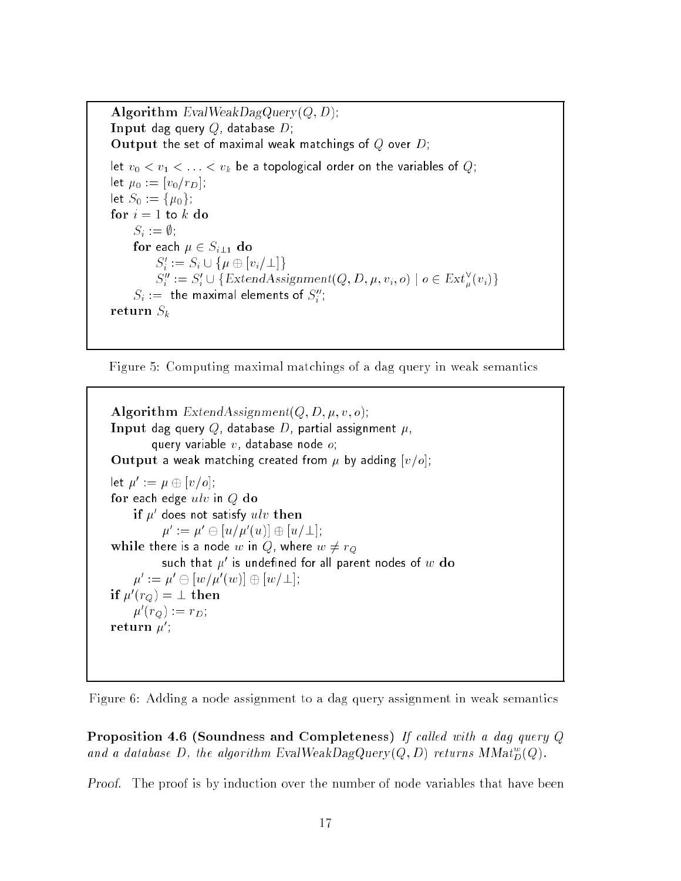Algorithm  $EvalWeakDagQuery(Q, D);$ Input dag query  $Q$ , database  $D$ ; Output the set of maximal weak matchings of  $Q$  over  $D$ ; let  $v_0 < v_1 < \ldots < v_k$  be a topological order on the variables of  $Q$ ; let  $\mu_0 := [v_0/r_D];$ let  $S_0 := \{\mu_0\};$ for  $i = 1$  to  $k$  do  $S_i := \emptyset;$ for each  $\mu \in S_{i\perp 1}$  do  $S_i':=S_i\cup\{\mu\oplus [v_i/\bot]\}$  $S''_i := S'_i \cup \{ExtendAssignment(Q, D, \mu, v_i, o) \mid o \in Ext_{\mu}^{\vee}(v_i) \}$  $S_i :=\,$  the maximal elements of  $S_i^{\prime\prime};$ return  $S_k$ 

Figure 5: Computing maximal matchings of a dag query in weak semantics

Algorithm  $ExtendAsigament(Q, D, \mu, v, o);$ Input dag query Q, database D, partial assignment  $\mu$ , query variable  $v$ , database node  $o$ ; Output a weak matching created from  $\mu$  by adding  $[v/o];$ let  $\mu' := \mu \oplus [v/o];$ for each edge  $ulv$  in  $Q$  do  $\operatorname{if} \mu'$  does not satisfy  $ulv$  then  $\mu':=\mu'\ominus [u/\mu'(u)]\oplus [u/\bot];$ while there is a node w in Q, where  $w \neq r_Q$ such that  $\mu^*$  is undefined for all parent nodes of  $w$   $\bf{do}$  $\mu' := \mu' \ominus [w/\mu'(w)] \oplus [w/\bot];$ If  $\mu(r_Q) = \bot$  then  $\mu^r(r_Q) := r_D,$ return  $\mu$  ;

Figure 6: Adding a node assignment to a dag query assignment in weak semantics

**Proposition 4.6 (Soundness and Completeness)** If called with a dag query  $Q$ and a database D, the algorithm EvalWeakDagQuery $(Q, D)$  returns  $MMat_D^w(Q)$ .

Proof. The proof is by induction over the number of node variables that have been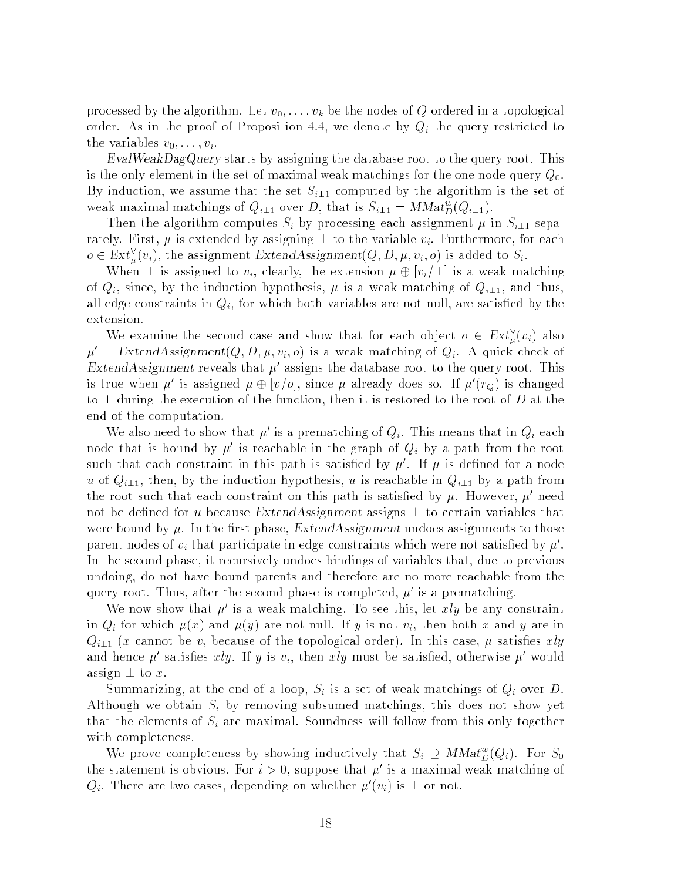processed by the algorithm. Let  $v_0, \ldots, v_k$  be the nodes of Q ordered in a topological order. As in the proof of Proposition 4.4, we denote by  $Q_i$  the query restricted to the variables  $v_0, \ldots, v_i$ .

 $EvalWeakDagQuery$  starts by assigning the database root to the query root. This is the only element in the set of maximal weak matchings for the one node query  $Q_0$ . By induction, we assume that the set  $S_{i\perp 1}$  computed by the algorithm is the set of weak maximal matchings of  $Q_{i\perp 1}$  over D, that is  $S_{i\perp 1} = MMat_D^w(Q_{i\perp 1}).$ 

Then the algorithm computes  $S_i$  by processing each assignment  $\mu$  in  $S_{i\perp 1}$  separately. First,  $\mu$  is extended by assigning  $\perp$  to the variable  $v_i$ . Furthermore, for each  $o \in Ext_{\mu}^{\vee}(v_i)$ , the assignment  $ExtendAsigmment(Q, D, \mu, v_i, o)$  is added to  $S_i$ .

When  $\perp$  is assigned to  $v_i$ , clearly, the extension  $\mu \oplus [v_i/\perp]$  is a weak matching of  $Q_i$ , since, by the induction hypothesis,  $\mu$  is a weak matching of  $Q_{i\perp 1}$ , and thus, all edge constraints in  $Q_i$ , for which both variables are not null, are satisfied by the extension.

We examine the second case and show that for each object  $o \in Ext_u^+(v_i)$  also  $\mu' = ExtendAssignment(Q, D, \mu, v_i, o)$  is a weak matching of  $Q_i$ . A quick check of ExtendAssignment reveals that  $\mu^*$  assigns the database root to the query root. This is true when  $\mu'$  is assigned  $\mu \oplus [v/o]$ , since  $\mu$  already does so. If  $\mu'(r_Q)$  is changed to  $\perp$  during the execution of the function, then it is restored to the root of D at the end of the computation.

We also need to show that  $\mu'$  is a prematching of  $Q_i$ . This means that in  $Q_i$  each node that is bound by  $\mu'$  is reachable in the graph of  $Q_i$  by a path from the root such that each constraint in this path is satisfied by  $\mu$  . If  $\mu$  is defined for a node u of  $Q_{i\perp 1}$ , then, by the induction hypothesis, u is reachable in  $Q_{i\perp 1}$  by a path from the root such that each constraint on this path is satisfied by  $\mu.$  However,  $\mu.$  need not be defined for u because ExtendAssignment assigns  $\perp$  to certain variables that were bound by  $\mu$ . In the first phase, ExtendAssignment undoes assignments to those parent nodes of  $v_i$  that participate in edge constraints which were not satisfied by  $\mu$  . In the second phase, it recursively undoes bindings of variables that, due to previous undoing, do not have bound parents and therefore are no more reachable from the query root. Thus, after the second phase is completed,  $\mu$  is a prematching.

We now show that  $\mu'$  is a weak matching. To see this, let xly be any constraint in  $Q_i$  for which  $\mu(x)$  and  $\mu(y)$  are not null. If y is not  $v_i$ , then both x and y are in  $Q_{i\perp 1}$  (x cannot be  $v_i$  because of the topological order). In this case,  $\mu$  satisfies xly and hence  $\mu'$  satisfies  $xly$ . If y is  $v_i$ , then  $xly$  must be satisfied, otherwise  $\mu'$  would assign  $\perp$  to x.

Summarizing, at the end of a loop,  $S_i$  is a set of weak matchings of  $Q_i$  over D. Although we obtain  $S_i$  by removing subsumed matchings, this does not show yet that the elements of  $S_i$  are maximal. Soundness will follow from this only together with completeness.

We prove completeness by showing inductively that  $S_i \supseteq MMat_D^w(Q_i)$ . For  $S_0$ the statement is obvious. For  $i > 0$ , suppose that  $\mu'$  is a maximal weak matching of  $Q_i$ . There are two cases, depending on whether  $\mu'(v_i)$  is  $\perp$  or not.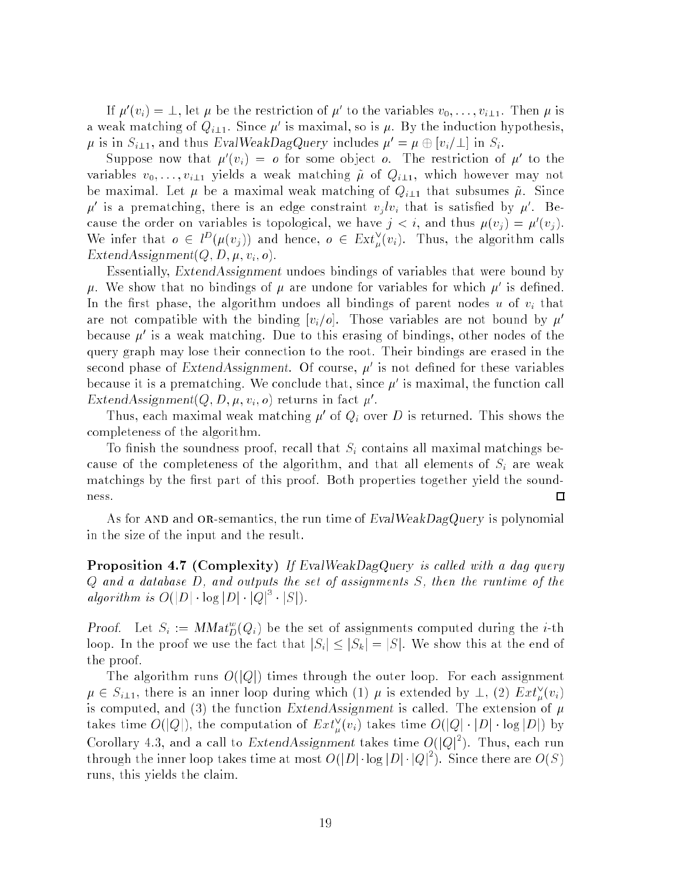If  $\mu^*(v_i) = \bot$ , let  $\mu$  be the restriction of  $\mu^*$  to the variables  $v_0, \ldots, v_{i\pm 1}.$  Then  $\mu$  is a weak matching of  $Q_{i\perp 1}$ . Since  $\mu'$  is maximal, so is  $\mu$ . By the induction hypothesis,  $\mu$  is in  $S_{i\perp 1}$ , and thus EvalWeakDagQuery includes  $\mu' = \mu \oplus [v_i/\perp]$  in  $S_i$ .

Suppose now that  $\mu\left(v_i\right) = o$  for some object  $o$ . The restriction of  $\mu$  to the variables  $v_0, \ldots, v_{i\perp 1}$  yields a weak matching  $\tilde{\mu}$  of  $Q_{i\perp 1}$ , which however may not be maximal. Let  $\mu$  be a maximal weak matching of  $Q_{i\perp 1}$  that subsumes  $\tilde{\mu}$ . Since  $\mu'$  is a prematching, there is an edge constraint  $v_jlv_i$  that is satisfied by  $\mu'$ . Because the order on variables is topological, we have  $j < i$ , and thus  $\mu(v_j) = \mu'(v_j)$ . We infer that  $o \in l^D(\mu(v_j))$  and hence,  $o \in Ext_u^{\vee}(v_i)$ . Thus, the algorithm calls  $ExtendAssignment(Q, D, \mu, v_i, o).$ 

Essentially, ExtendAssignment undoes bindings of variables that were bound by  $\mu.$  We show that no bindings of  $\mu$  are undone for variables for which  $\mu$  is defined. In the first phase, the algorithm undoes all bindings of parent nodes  $u$  of  $v_i$  that are not compatible with the binding  $[v_i/e]$ . Those variables are not bound by  $\mu'$ because  $\mu$  is a weak matching. Due to this erasing of bindings, other nodes of the query graph may lose their connection to the root. Their bindings are erased in the second phase of ExtendAssignment. Of course,  $\mu$  is not defined for these variables because it is a prematching. We conclude that, since  $\mu^{\cdot}$  is maximal, the function call ExtendAssignment $(Q, D, \mu, v_i, o)$  returns in fact  $\mu'$ .

Thus, each maximal weak matching  $\mu'$  of  $Q_i$  over D is returned. This shows the completeness of the algorithm.

To finish the soundness proof, recall that  $S_i$  contains all maximal matchings because of the completeness of the algorithm, and that all elements of  $S_i$  are weak matchings by the first part of this proof. Both properties together yield the soundness.  $\Box$ 

As for AND and OR-semantics, the run time of  $EvalWeakDagQuery$  is polynomial in the size of the input and the result.

Proposition 4.7 (Complexity) If EvalWeakDagQuery is called with a dag query Q and <sup>a</sup> database D, and outputs the set of assignments S, then the runtime of the algorithm is  $O(|D| \cdot \log |D| \cdot |Q|^3 \cdot |S|)$ .

*Proof.* Let  $S_i := MMat_D^w(Q_i)$  be the set of assignments computed during the *i*-th loop. In the proof we use the fact that  $|S_i| \leq |S_k| = |S|$ . We show this at the end of the proof.

The algorithm runs  $O(|Q|)$  times through the outer loop. For each assignment  $\mu \in S_{i\perp 1}$ , there is an inner loop during which (1)  $\mu$  is extended by  $\perp$ , (2)  $Ext_u^{\vee}(v_i)$ is computed, and (3) the function ExtendAssignment is called. The extension of  $\mu$ takes time  $O(|Q|)$ , the computation of  $Ext^{\sf v}_u(v_i)$  takes time  $O(|Q|\cdot|D|\cdot\log|D|)$  by Corollary 4.3, and a call to ExtendAssignment takes time  $O(|Q|^2)$ . Thus, each run through the inner loop takes time at most  $O(|D| \cdot \log |D| \cdot |Q|^2)$ . Since there are  $O(S)$ runs, this yields the claim.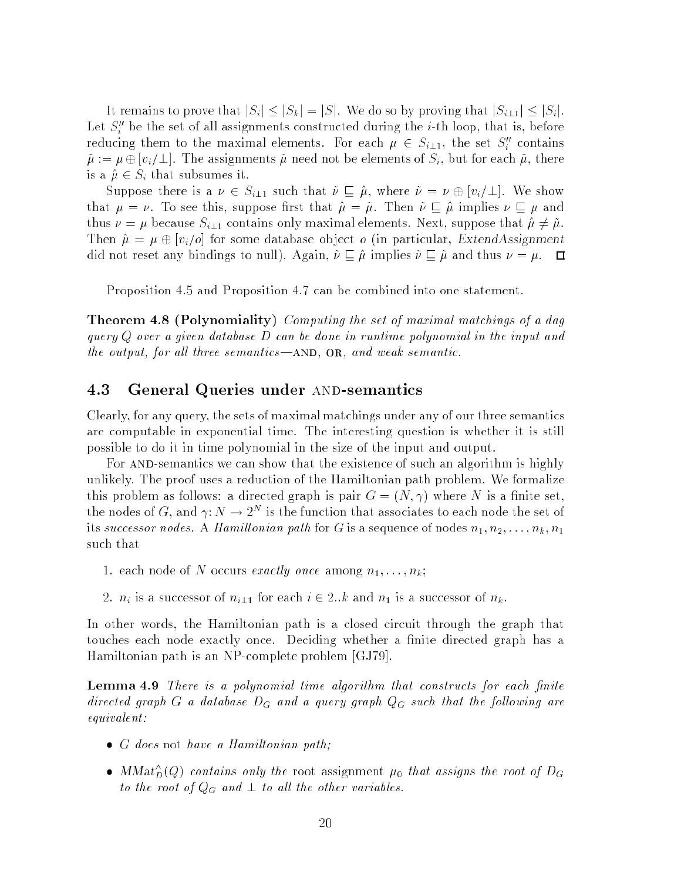It remains to prove that  $|S_i| \leq |S_k| = |S|$ . We do so by proving that  $|S_{i+1}| \leq |S_i|$ . Let  $S_i''$  be the set of all assignments constructed during the *i*-th loop, that is, before reducing them to the maximal elements. For each  $\mu \in S_{i\perp 1}$ , the set  $S''_i$  contains  $\tilde{\mu} := \mu \oplus [v_i/\perp]$ . The assignments  $\tilde{\mu}$  need not be elements of  $S_i$ , but for each  $\tilde{\mu}$ , there is a  $\hat{\mu} \in S_i$  that subsumes it.

Suppose there is a  $\nu \in S_{i\perp 1}$  such that  $\tilde{\nu} \sqsubseteq \hat{\mu}$ , where  $\tilde{\nu} = \nu \oplus [v_i/\perp]$ . We show that  $\mu = \nu$ . To see this, suppose first that  $\hat{\mu} = \tilde{\mu}$ . Then  $\tilde{\nu} \subseteq \hat{\mu}$  implies  $\nu \subseteq \mu$  and thus  $\nu = \mu$  because  $S_{i\perp 1}$  contains only maximal elements. Next, suppose that  $\hat{\mu} \neq \hat{\mu}$ . Then  $\hat{\mu} = \mu \oplus [v_i/o]$  for some database object o (in particular, ExtendAssignment did not reset any bindings to null). Again,  $\tilde{\nu} \subseteq \hat{\mu}$  implies  $\tilde{\nu} \subseteq \tilde{\mu}$  and thus  $\nu = \mu$ .  $\Box$ 

Proposition 4.5 and Proposition 4.7 can be combined into one statement.

**Theorem 4.8 (Polynomiality)** Computing the set of maximal matchings of a dag query Q over a given database D can be done in runtime polynomial in the input and the output, for all three semantics|and, or, and weak semantic.

## 4.3 General Queries under AND-semantics

Clearly, for any query, the sets of maximal matchings under any of our three semantics are computable in exponential time. The interesting question is whether it is still possible to do it in time polynomial in the size of the input and output.

For AND-semantics we can show that the existence of such an algorithm is highly unlikely. The proof uses a reduction of the Hamiltonian path problem. We formalize this problem as follows: a directed graph is pair  $G = (N, \gamma)$  where N is a finite set. the nodes of  $G,$  and  $\gamma\!:\!N\to 2^N$  is the function that associates to each node the set of its successor nodes. A Hamiltonian path for G is a sequence of nodes  $n_1, n_2, \ldots, n_k, n_1$ such that

- 1. each node of N occurs exactly once among  $n_1, \ldots, n_k$ ;
- 2.  $n_i$  is a successor of  $n_{i\perp 1}$  for each  $i \in 2...k$  and  $n_1$  is a successor of  $n_k$ .

In other words, the Hamiltonian path is a closed circuit through the graph that touches each node exactly once. Deciding whether a finite directed graph has a Hamiltonian path is an NP-complete problem [GJ79].

**Lemma 4.9** There is a polynomial time algorithm that constructs for each finite directed graph G a database  $D_G$  and a query graph  $Q_G$  such that the following are equivalent:

- G does not have <sup>a</sup> Hamiltonian path;
- MMat $_D^{\wedge}(Q)$  contains only the root assignment  $\mu_0$  that assigns the root of  $D_G$ to the root of  $Q_G$  and  $\perp$  to all the other variables.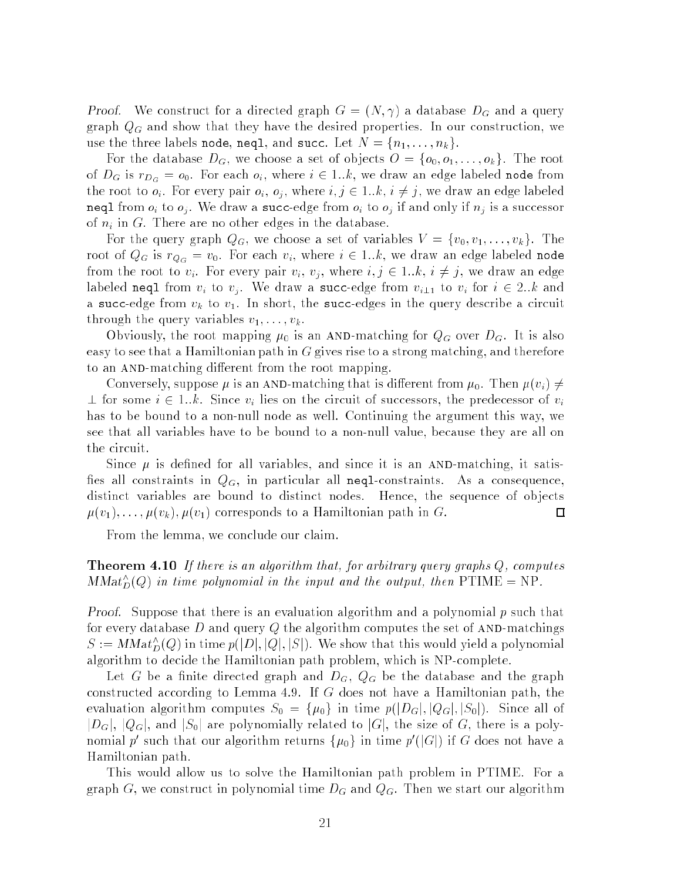*Proof.* We construct for a directed graph  $G = (N, \gamma)$  a database  $D_G$  and a query graph  $Q_G$  and show that they have the desired properties. In our construction, we use the three labels node, neq1, and succ. Let  $N = \{n_1, \ldots, n_k\}.$ 

For the database  $D_G$ , we choose a set of objects  $O = \{o_0, o_1, \ldots, o_k\}$ . The root of  $D_G$  is  $r_{D_G} = o_0$ . For each  $o_i$ , where  $i \in 1..k$ , we draw an edge labeled node from the root to  $o_i$ . For every pair  $o_i, o_j$ , where  $i, j \in 1..k, i \neq j$ , we draw an edge labeled neq1 from  $o_i$  to  $o_j$ . We draw a succ-edge from  $o_i$  to  $o_j$  if and only if  $n_j$  is a successor of  $n_i$  in G. There are no other edges in the database.

For the query graph  $Q_G$ , we choose a set of variables  $V = \{v_0, v_1, \ldots, v_k\}$ . The root of  $Q_G$  is  $r_{Q_G} = v_0$ . For each  $v_i$ , where  $i \in 1..k$ , we draw an edge labeled node from the root to  $v_i$ . For every pair  $v_i, v_j$ , where  $i, j \in 1..k, i \neq j$ , we draw an edge labeled neql from  $v_i$  to  $v_j$ . We draw a succ-edge from  $v_{i\perp 1}$  to  $v_i$  for  $i \in 2..k$  and a succ-edge from  $v_k$  to  $v_1$ . In short, the succ-edges in the query describe a circuit through the query variables  $v_1, \ldots, v_k$ .

Obviously, the root mapping  $\mu_0$  is an AND-matching for  $Q_G$  over  $D_G$ . It is also easy to see that a Hamiltonian path in  $G$  gives rise to a strong matching, and therefore to an AND-matching different from the root mapping.

Conversely, suppose  $\mu$  is an AND-matching that is different from  $\mu_0$ . Then  $\mu(v_i) \neq$  $\perp$  for some  $i \in 1..k$ . Since  $v_i$  lies on the circuit of successors, the predecessor of  $v_i$ has to be bound to a non-null node as well. Continuing the argument this way, we see that all variables have to be bound to a non-null value, because they are all on the circuit.

Since  $\mu$  is defined for all variables, and since it is an AND-matching, it satisfies all constraints in  $Q_G$ , in particular all neql-constraints. As a consequence, distinct variables are bound to distinct nodes. Hence, the sequence of objects  $\mu(v_1), \ldots, \mu(v_k), \mu(v_1)$  corresponds to a Hamiltonian path in G.  $\Box$ 

From the lemma, we conclude our claim.

**Theorem 4.10** If there is an algorithm that, for arbitrary query graphs  $Q$ , computes  $MMat_D^{\wedge}(Q)$  in time polynomial in the input and the output, then  $\mathrm{PTIME} = \mathrm{NP}$ .

Proof. Suppose that there is an evaluation algorithm and a polynomial p such that for every database  $D$  and query  $Q$  the algorithm computes the set of AND-matchings  $S := MM$ a $t_D^\wedge(Q)$  in time  $p(|D|, |Q|, |S|).$  We show that this would yield a polynomial algorithm to decide the Hamiltonian path problem, which is NP-complete.

Let G be a finite directed graph and  $D_G$ ,  $Q_G$  be the database and the graph constructed according to Lemma 4.9. If G does not have a Hamiltonian path, the evaluation algorithm computes  $S_0 = {\mu_0}$  in time  $p(|D_G|, |Q_G|, |S_0|)$ . Since all of  $|D_G|, |Q_G|$ , and  $|S_0|$  are polynomially related to  $|G|$ , the size of G, there is a polynomial  $p'$  such that our algorithm returns  $\{\mu_{0}\}$  in time  $p'(|G|)$  if  $G$  does not have a Hamiltonian path.

This would allow us to solve the Hamiltonian path problem in PTIME. For a graph G, we construct in polynomial time  $D_G$  and  $Q_G$ . Then we start our algorithm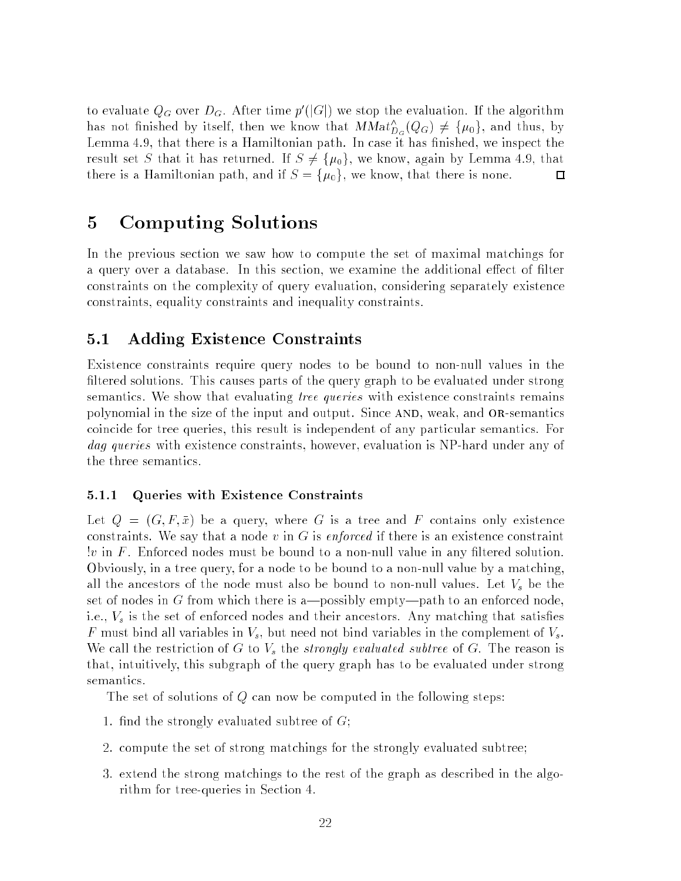to evaluate  $Q_G$  over  $D_G$ . After time  $p'(|G|)$  we stop the evaluation. If the algorithm has not finished by itself, then we know that  $MMat^{\wedge}_{D_G}(Q_G) \neq {\{\mu_0\}}$ , and thus, by Lemma  $4.9$ , that there is a Hamiltonian path. In case it has finished, we inspect the result set S that it has returned. If  $S \neq {\mu_0}$ , we know, again by Lemma 4.9, that there is a Hamiltonian path, and if  $S = {\mu_0}$ , we know, that there is none.  $\Box$ 

## 5 Computing Solutions

In the previous section we saw how to compute the set of maximal matchings for a query over a database. In this section, we examine the additional effect of filter constraints on the complexity of query evaluation, considering separately existence constraints, equality constraints and inequality constraints.

## 5.1 Adding Existence Constraints

Existence constraints require query nodes to be bound to non-null values in the filtered solutions. This causes parts of the query graph to be evaluated under strong semantics. We show that evaluating tree queries with existence constraints remains polynomial in the size of the input and output. Since AND, weak, and OR-semantics coincide for tree queries, this result is independent of any particular semantics. For dag queries with existence constraints, however, evaluation is NP-hard under any of the three semantics.

## 5.1.1 Queries with Existence Constraints

Let  $Q = (G, F, \bar{x})$  be a query, where G is a tree and F contains only existence constraints. We say that a node v in G is enforced if there is an existence constraint  $\exists v$  in  $F$ . Enforced nodes must be bound to a non-null value in any filtered solution. Obviously, in a tree query, for a node to be bound to a non-null value by a matching, all the ancestors of the node must also be bound to non-null values. Let  $V_s$  be the set of nodes in G from which there is a—possibly empty—path to an enforced node, i.e.,  $V_s$  is the set of enforced nodes and their ancestors. Any matching that satisfies F must bind all variables in  $V_s$ , but need not bind variables in the complement of  $V_s$ . We call the restriction of G to  $V_s$  the *strongly evaluated subtree* of G. The reason is that, intuitively, this subgraph of the query graph has to be evaluated under strong semantics.

The set of solutions of  $Q$  can now be computed in the following steps:

- 1. find the strongly evaluated subtree of  $G$ ;
- 2. compute the set of strong matchings for the strongly evaluated subtree;
- 3. extend the strong matchings to the rest of the graph as described in the algorithm for tree-queries in Section 4.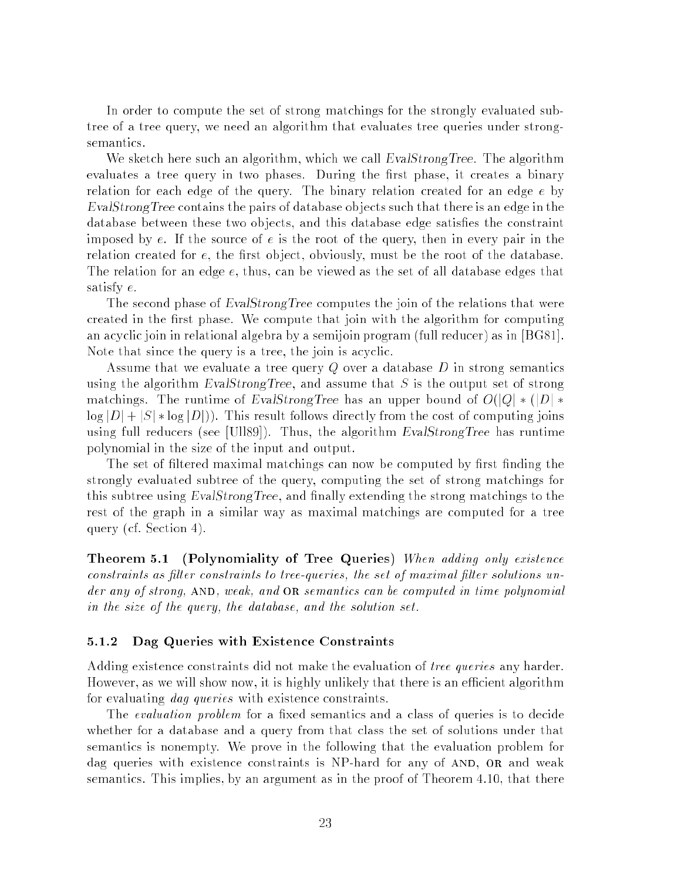In order to compute the set of strong matchings for the strongly evaluated subtree of a tree query, we need an algorithm that evaluates tree queries under strongsemantics.

We sketch here such an algorithm, which we call EvalStrongTree. The algorithm evaluates a tree query in two phases. During the first phase, it creates a binary relation for each edge of the query. The binary relation created for an edge  $e$  by EvalStrongTree contains the pairs of database ob jects such that there is an edge in the database between these two objects, and this database edge satisfies the constraint imposed by e. If the source of e is the root of the query, then in every pair in the relation created for  $e$ , the first object, obviously, must be the root of the database. The relation for an edge e, thus, can be viewed as the set of all database edges that satisfy e.

The second phase of EvalStrongTree computes the join of the relations that were created in the first phase. We compute that join with the algorithm for computing an acyclic join in relational algebra by a semijoin program (full reducer) as in [BG81]. Note that since the query is a tree, the join is acyclic.

Assume that we evaluate a tree query  $Q$  over a database  $D$  in strong semantics using the algorithm  $EvalStrongTree$ , and assume that S is the output set of strong matchings. The runtime of EvalStrongTree has an upper bound of  $O(|Q| * |D| *$  $\log |D| + |S| * \log |D|$ ). This result follows directly from the cost of computing joins using full reducers (see [Ull89]). Thus, the algorithm EvalStrongTree has runtime polynomial in the size of the input and output.

The set of filtered maximal matchings can now be computed by first finding the strongly evaluated subtree of the query, computing the set of strong matchings for this subtree using EvalStrongTree, and finally extending the strong matchings to the rest of the graph in a similar way as maximal matchings are computed for a tree query (cf. Section 4).

Theorem 5.1 (Polynomiality of Tree Queries) When adding only existence construction as inter construction as a cross dimensioni and constraint interest content and mit der any of strong, and, weak, and or semantics can be computed in time polynomial in the size of the query, the database, and the solution set.

### 5.1.2 Dag Queries with Existence Constraints

Adding existence constraints did not make the evaluation of tree queries any harder. However, as we will show now, it is highly unlikely that there is an efficient algorithm for evaluating *dag queries* with existence constraints.

The *evaluation problem* for a fixed semantics and a class of queries is to decide whether for a database and a query from that class the set of solutions under that semantics is nonempty. We prove in the following that the evaluation problem for dag queries with existence constraints is NP-hard for any of AND, OR and weak semantics. This implies, by an argument as in the proof of Theorem 4.10, that there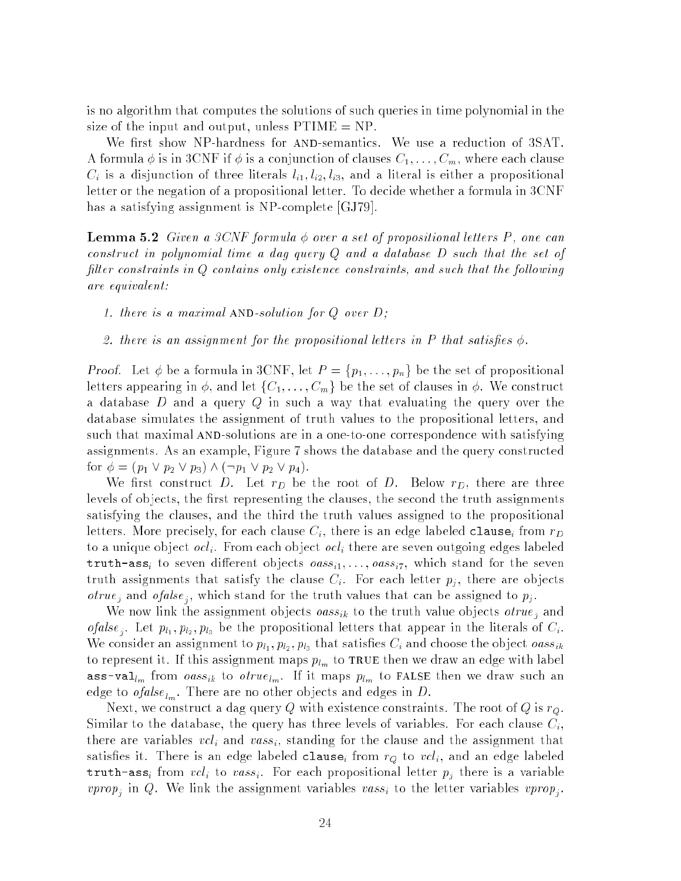is no algorithm that computes the solutions of such queries in time polynomial in the size of the input and output, unless  $PTIME = NP$ .

We first show NP-hardness for AND-semantics. We use a reduction of 3SAT. A formula  $\phi$  is in 3CNF if  $\phi$  is a conjunction of clauses  $C_1, \ldots, C_m$ , where each clause  $C_i$  is a disjunction of three literals  $l_{i1}, l_{i2}, l_{i3}$ , and a literal is either a propositional letter or the negation of a propositional letter. To decide whether a formula in 3CNF has a satisfying assignment is NP-complete [GJ79].

**Lemma 5.2** Given a 3CNF formula  $\phi$  over a set of propositional letters P, one can construct in polynomial time <sup>a</sup> dag query Q and <sup>a</sup> database D such that the set of filter constraints in  $Q$  contains only existence constraints, and such that the following are equivalent:

1. there is a maximal  $AND$ -solution for  $Q$  over  $D$ ;

<sup>j</sup>

2. there is an assignment for the propositional letters in P that satisfies  $\phi$ .

*Proof.* Let  $\phi$  be a formula in 3CNF, let  $P = \{p_1, \ldots, p_n\}$  be the set of propositional letters appearing in  $\phi$ , and let  $\{C_1, \ldots, C_m\}$  be the set of clauses in  $\phi$ . We construct a database  $D$  and a query  $Q$  in such a way that evaluating the query over the database simulates the assignment of truth values to the propositional letters, and such that maximal AND-solutions are in a one-to-one correspondence with satisfying assignments. As an example, Figure 7 shows the database and the query constructed for  $\phi = (p_1 \vee p_2 \vee p_3) \wedge (\neg p_1 \vee p_2 \vee p_4).$ 

We first construct D. Let  $r_D$  be the root of D. Below  $r_D$ , there are three levels of objects, the first representing the clauses, the second the truth assignments satisfying the clauses, and the third the truth values assigned to the propositional letters. More precisely, for each clause  $C_i$ , there is an edge labeled clause; from  $r_D$ to a unique ob ject ocl <sup>i</sup>. From each ob ject ocl <sup>i</sup> there are seven outgoing edges labeled truth-ass<sub>i</sub> to seven different objects  $oass_{i1}, \ldots, oass_{i7}$ , which stand for the seven truth assignments that satisfy the clause  $C_i$ . For each letter  $p_i$ , there are objects *otrue<sub>i</sub>* and *ofalse<sub>i</sub>*, which stand for the truth values that can be assigned to  $p_j$ .

We now link the assignment objects  $\textit{oass}_{ik}$  to the truth value objects  $\textit{otree}_j$  and *ofalse<sub>j</sub>*. Let  $p_{l_1}, p_{l_2}, p_{l_3}$  be the propositional letters that appear in the literals of  $C_i$ . We consider an assignment to  $p_{l_1}, p_{l_2}, p_{l_3}$  that satisfies  $C_i$  and choose the object  $oass_{ik}$ to represent it. If this assignment maps  $p_{l_m}$  to TRUE then we draw an edge with label ass-val<sub>lm</sub> from  $oass_{ik}$  to  $otruel_m$ . If it maps  $p_{l_m}$  to FALSE then we draw such an edge to  $ofalse_{l_m}$ . There are no other objects and edges in D.

Next, we construct a dag query  $Q$  with existence constraints. The root of  $Q$  is  $r_Q.$ Similar to the database, the query has three levels of variables. For each clause  $C_i$ , there are variables variables vass in the  $\mathcal{V}_1$  is the assignment that the assignment that the assignment that satisfies it. There is an edge labeled clause, from  $r_Q$  to  $vcl_i$ , and an edge labeled truth-ass<sub>i</sub> from vcl<sub>i</sub> to vass<sub>i</sub>. For each propositional letter  $p_j$  there is a variable *vprop<sub>i</sub>* in Q. We link the assignment variables vass<sub>i</sub> to the letter variables vprop<sub>i</sub>.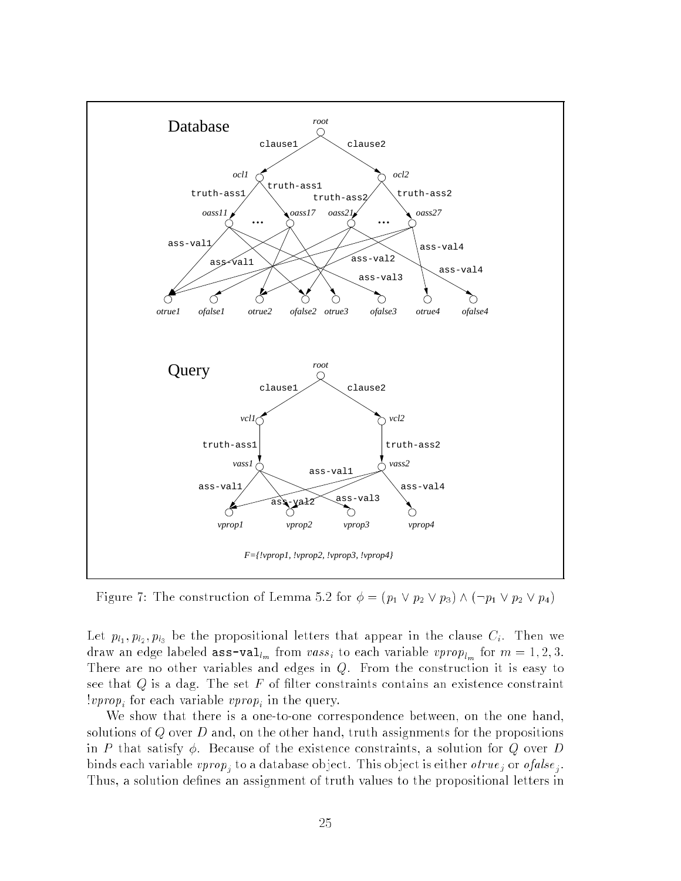

Figure 7: The construction of Lemma 5.2 for  $\phi = (p_1 \vee p_2 \vee p_3) \wedge (\neg p_1 \vee p_2 \vee p_4)$ 

Let  $p_{l_1}, p_{l_2}, p_{l_3}$  be the propositional letters that appear in the clause  $C_i$ . Then we draw an edge labeled ass-val<sub>lm</sub> from vass<sub>i</sub> to each variable vprop<sub>lm</sub> for  $m = 1, 2, 3$ . There are no other variables and edges in Q. From the construction it is easy to see that  $Q$  is a dag. The set  $F$  of filter constraints contains an existence constraint . The second variable variable variable variable variable  $\mathcal{L}_i$ 

We show that there is a one-to-one correspondence between, on the one hand, solutions of  $Q$  over  $D$  and, on the other hand, truth assignments for the propositions in P that satisfy  $\phi$ . Because of the existence constraints, a solution for Q over D binds each variable variable vpropi to a database ob ject. This object is either or of ject. Just  $j$ Thus, a solution defines an assignment of truth values to the propositional letters in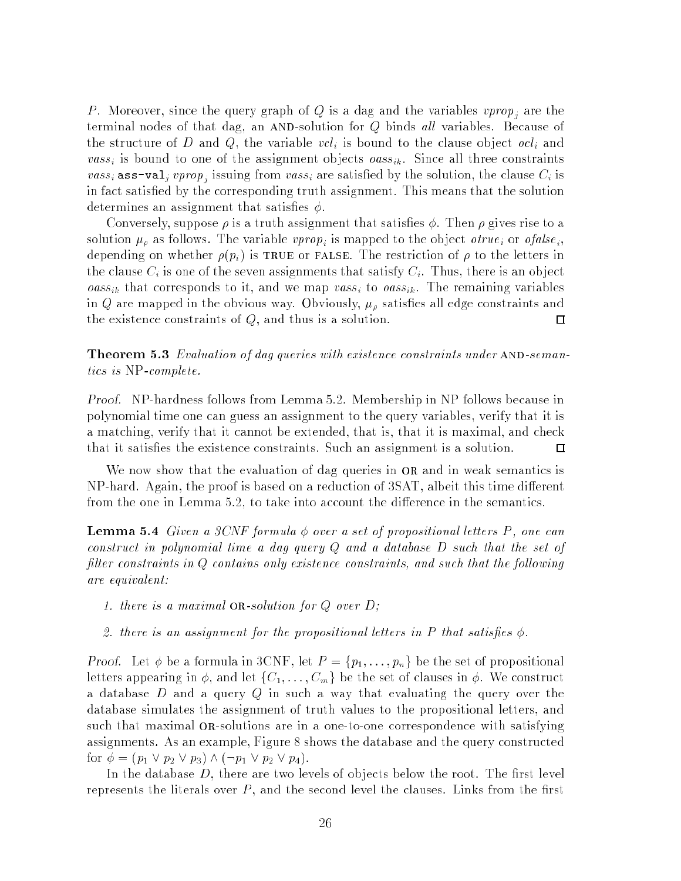P. Moreover, since the query graph of Q is a dag and the variables  $vprop_i$  are the terminal nodes of that dag, an AND-solution for  $Q$  binds all variables. Because of the structure of D and Q, the variable  $vcl_i$  is bound to the clause object ocl<sub>i</sub> and vass i se door of the assignment observed ob jects oassign. Since all the assignment of the constraints of the vass; ass-val, vprop, issuing from vass; are satisfied by the solution, the clause  $C_i$  is in fact satisfied by the corresponding truth assignment. This means that the solution determines an assignment that satisfies  $\phi$ .

Conversely, suppose  $\rho$  is a truth assignment that satisfies  $\phi$ . Then  $\rho$  gives rise to a solution  $\mu_\rho$  as follows. The variable  $vprop_i$  is mapped to the object  $\it{otrule}_i$  or  $\it{of}$   $\it{false}_i,$ depending on whether  $\rho(p_i)$  is TRUE or FALSE. The restriction of  $\rho$  to the letters in the clause  $C_i$  is one of the seven assignments that satisfy  $C_i$ . Thus, there is an object  $oass_{ik}$  that corresponds to it, and we map vass<sub>i</sub> to  $oass_{ik}$ . The remaining variables in  $Q$  are mapped in the obvious way. Obviously,  $\mu_{\rho}$  satisfies all edge constraints and the existence constraints of  $Q$ , and thus is a solution. 口

**Theorem 5.3** Evaluation of dag queries with existence constraints under  $AND\text{-}seman$ tics is NP-complete.

Proof. NP-hardness follows from Lemma 5.2. Membership in NP follows because in polynomial time one can guess an assignment to the query variables, verify that it is a matching, verify that it cannot be extended, that is, that it is maximal, and check that it satisfies the existence constraints. Such an assignment is a solution.  $\Box$ 

We now show that the evaluation of dag queries in OR and in weak semantics is NP-hard. Again, the proof is based on a reduction of 3SAT, albeit this time different from the one in Lemma 5.2, to take into account the difference in the semantics.

**Lemma 5.4** Given a 3CNF formula  $\phi$  over a set of propositional letters P, one can construct in polynomial time <sup>a</sup> dag query Q and <sup>a</sup> database D such that the set of filter constraints in  $Q$  contains only existence constraints, and such that the following are equivalent:

- 1. there is a maximal  $OR$ -solution for  $Q$  over  $D$ ;
- 2. there is an assignment for the propositional letters in P that satisfies  $\phi$ .

*Proof.* Let  $\phi$  be a formula in 3CNF, let  $P = \{p_1, \ldots, p_n\}$  be the set of propositional letters appearing in  $\phi$ , and let  $\{C_1, \ldots, C_m\}$  be the set of clauses in  $\phi$ . We construct a database  $D$  and a query  $Q$  in such a way that evaluating the query over the database simulates the assignment of truth values to the propositional letters, and such that maximal OR-solutions are in a one-to-one correspondence with satisfying assignments. As an example, Figure 8 shows the database and the query constructed for  $\phi = (p_1 \vee p_2 \vee p_3) \wedge (\neg p_1 \vee p_2 \vee p_4).$ 

In the database  $D$ , there are two levels of objects below the root. The first level represents the literals over  $P$ , and the second level the clauses. Links from the first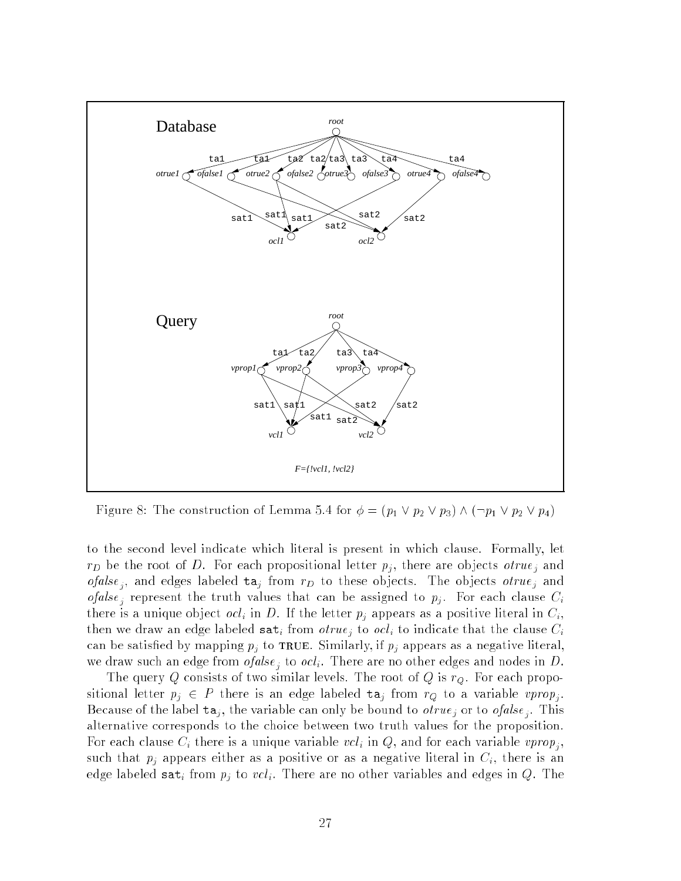

Figure 8: The construction of Lemma 5.4 for  $\phi = (p_1 \vee p_2 \vee p_3) \wedge (\neg p_1 \vee p_2 \vee p_4)$ 

to the second level indicate which literal is present in which clause. Formally, let  $r_D$  be the root of D. For each propositional letter  $p_j$ , there are objects otrue, and *ofalse*  $_i$ , and edges labeled  $\tau a_j$  from  $r_D$  to these objects. The objects *otrue* and *ofalse<sub>i</sub>* represent the truth values that can be assigned to  $p_j$ . For each clause  $C_i$ there is a unique object ocl<sub>i</sub> in D. If the letter  $p_j$  appears as a positive literal in  $C_i$ , then we draw an edge labeled sat<sub>i</sub> from *otrue*, to *ocl*<sub>i</sub> to indicate that the clause  $C_i$ can be satisfied by mapping  $p_j$  to TRUE. Similarly, if  $p_j$  appears as a negative literal, we draw such an edge from  $ofalse_j$  to  $ocl_i$ . There are no other edges and nodes in  $D$ .

The query Q consists of two similar levels. The root of Q is  $r_Q$ . For each propositional letter  $p_j \in P$  there is an edge labeled  $\mathtt{ta}_j$  from  $r_Q$  to a variable  $vprop_j$ . Because of the label talk taj , the variable can only be bound to otrue j or to propriety . This <sup>j</sup> alternative corresponds to the choice between two truth values for the proposition. For each clause  $C_i$  there is a unique variable  $vcl_i$  in  $Q$ , and for each variable  $vprop_j$ , such that  $p_i$  appears either as a positive or as a negative literal in  $C_i$ , there is an edge labeled sat<sub>i</sub> from  $p_j$  to vcl<sub>i</sub>. There are no other variables and edges in Q. The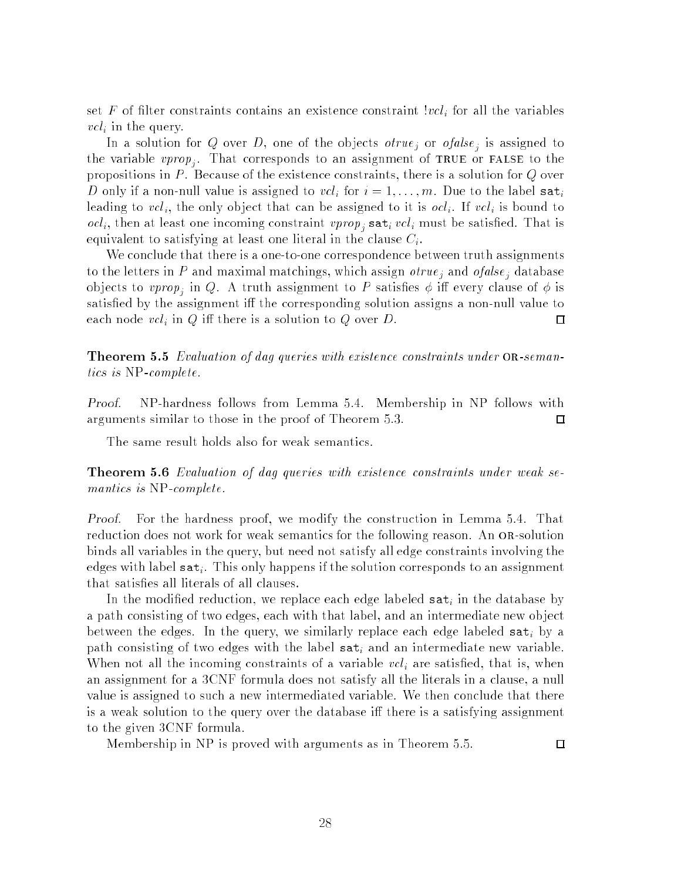set F of filter constraints contains an existence constraint  $|vel_i|$  for all the variables variate in the contract of the contract of the contract of the contract of the contract of the contract of the

In a solution for Q over D, one of the objects  $\mathit{otrue}_j$  or  $\mathit{ofalse}_j$  is assigned to . The variable vproping  $\mathcal{L}_1$  is an assignment of the corresponding to the set of the set of the set of the set of the set of the set of the set of the set of the set of the set of the set of the set of the set of the propositions in  $P$ . Because of the existence constraints, there is a solution for  $Q$  over D only if a non-null value is assigned to  $vcl_i$  for  $i = 1, \ldots, m$ . Due to the label sat<sub>i</sub> leading to vcl <sup>i</sup>, the only ob ject that can be assigned to it is ocl <sup>i</sup> . If vcl <sup>i</sup> is bound to occl i, the statistical constraint variant values of  $\mathcal{L}_1$  is the satisfied of  $\mathcal{L}_2$  in must be satisfied. That is satisfied on equivalent to satisfying at least one literal in the clause  $C_i$ .

We conclude that there is a one-to-one correspondence between truth assignments to the letters in P and maximal matchings, which assign  $\mathit{otrue}_j$  and  $\mathit{ofalse}_i$  database objects to  $vprop$  in Q. A truth assignment to P satisfies  $\phi$  iff every clause of  $\phi$  is satisfied by the assignment iff the corresponding solution assigns a non-null value to each node  $vcl_i$  in Q iff there is a solution to Q over D.  $\Box$ 

**Theorem 5.5** Evaluation of dag queries with existence constraints under  $OR$ -semantics is NP-complete.

Proof. NP-hardness follows from Lemma 5.4. Membership in NP follows with arguments similar to those in the proof of Theorem 5.3. 囗

The same result holds also for weak semantics.

Theorem 5.6 Evaluation of dag queries with existence constraints under weak semantics is NP-complete.

Proof. For the hardness proof, we modify the construction in Lemma 5.4. That reduction does not work for weak semantics for the following reason. An OR-solution binds all variables in the query, but need not satisfy all edge constraints involving the edges with label  $\texttt{sat}_i$ . This only happens if the solution corresponds to an assignment that satisfies all literals of all clauses.

In the modified reduction, we replace each edge labeled  $\texttt{sat}_i$  in the database by a path consisting of two edges, each with that label, and an intermediate new ob ject between the edges. In the query, we similarly replace each edge labeled  $\texttt{sat}_i$  by a path consisting of two edges with the label  $\text{sat}_i$  and an intermediate new variable. when the income  $\alpha$  income income is a variable variable value in  $\alpha$  variable values of  $\alpha$  is, when an assignment for a 3CNF formula does not satisfy all the literals in a clause, a null value is assigned to such a new intermediated variable. We then conclude that there is a weak solution to the query over the database iff there is a satisfying assignment to the given 3CNF formula.

Membership in NP is proved with arguments as in Theorem 5.5.

 $\Box$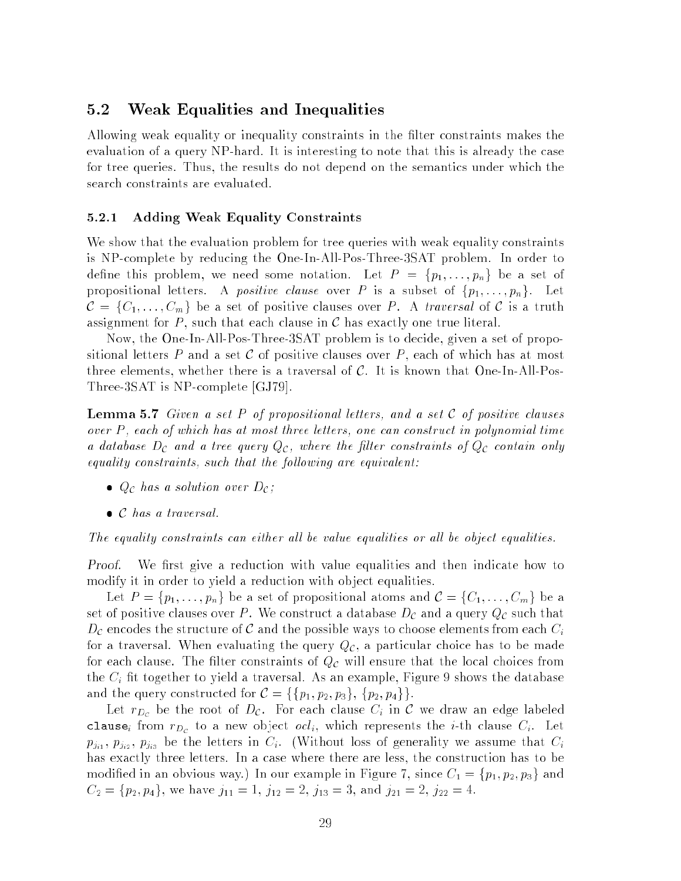## 5.2 Weak Equalities and Inequalities

Allowing weak equality or inequality constraints in the filter constraints makes the evaluation of a query NP-hard. It is interesting to note that this is already the case for tree queries. Thus, the results do not depend on the semantics under which the search constraints are evaluated.

### 5.2.1 Adding Weak Equality Constraints

We show that the evaluation problem for tree queries with weak equality constraints is NP-complete by reducing the One-In-All-Pos-Three-3SAT problem. In order to define this problem, we need some notation. Let  $P = \{p_1, \ldots, p_n\}$  be a set of propositional letters. A *positive clause* over P is a subset of  $\{p_1, \ldots, p_n\}$ . Let  $\mathcal{C} = \{C_1, \ldots, C_m\}$  be a set of positive clauses over P. A traversal of C is a truth assignment for  $P$ , such that each clause in  $\mathcal C$  has exactly one true literal.

Now, the One-In-All-Pos-Three-3SAT problem is to decide, given a set of propositional letters P and a set C of positive clauses over P, each of which has at most three elements, whether there is a traversal of  $\mathcal{C}$ . It is known that One-In-All-Pos-Three-3SAT is NP-complete [GJ79].

**Lemma 5.7** Given a set P of propositional letters, and a set C of positive clauses over P , each of which has at most three letters, one can construct in polynomial time a database  $D_{\mathcal{C}}$  and a tree query  $Q_{\mathcal{C}}$ , where the filter constraints of  $Q_{\mathcal{C}}$  contain only equality constraints, such that the following are equivalent:

- $Q_c$  has a solution over  $D_c$ ;
- <sup>C</sup> has <sup>a</sup> traversal.

The equality constraints can either all be value equalities or all be object equalities.

Proof. We first give a reduction with value equalities and then indicate how to modify it in order to yield a reduction with object equalities.

Let  $P = \{p_1, \ldots, p_n\}$  be a set of propositional atoms and  $\mathcal{C} = \{C_1, \ldots, C_m\}$  be a set of positive clauses over P. We construct a database  $D_{\mathcal{C}}$  and a query  $Q_{\mathcal{C}}$  such that  $D_{\mathcal{C}}$  encodes the structure of  $\mathcal C$  and the possible ways to choose elements from each  $C_i$ for a traversal. When evaluating the query  $Q_{\mathcal{C}}$ , a particular choice has to be made for each clause. The filter constraints of  $Q_c$  will ensure that the local choices from the  $C_i$  fit together to yield a traversal. As an example, Figure 9 shows the database and the query constructed for  $\mathcal{C} = \{\{p_1, p_2, p_3\}, \{p_2, p_4\}\}.$ 

Let  $r_{D_c}$  be the root of  $D_c$ . For each clause  $C_i$  in C we draw an edge labeled clause<sub>i</sub> from  $r_{D_c}$  to a new object *ocl<sub>i</sub>*, which represents the *i*-th clause  $C_i$ . Let  $p_{j_{i1}}, p_{j_{i2}}, p_{j_{i3}}$  be the letters in  $C_i$ . (Without loss of generality we assume that  $C_i$ has exactly three letters. In a case where there are less, the construction has to be modified in an obvious way.) In our example in Figure 7, since  $C_1 = \{p_1, p_2, p_3\}$  and  $C_2 = \{p_2, p_4\}$ , we have  $j_{11} = 1$ ,  $j_{12} = 2$ ,  $j_{13} = 3$ , and  $j_{21} = 2$ ,  $j_{22} = 4$ .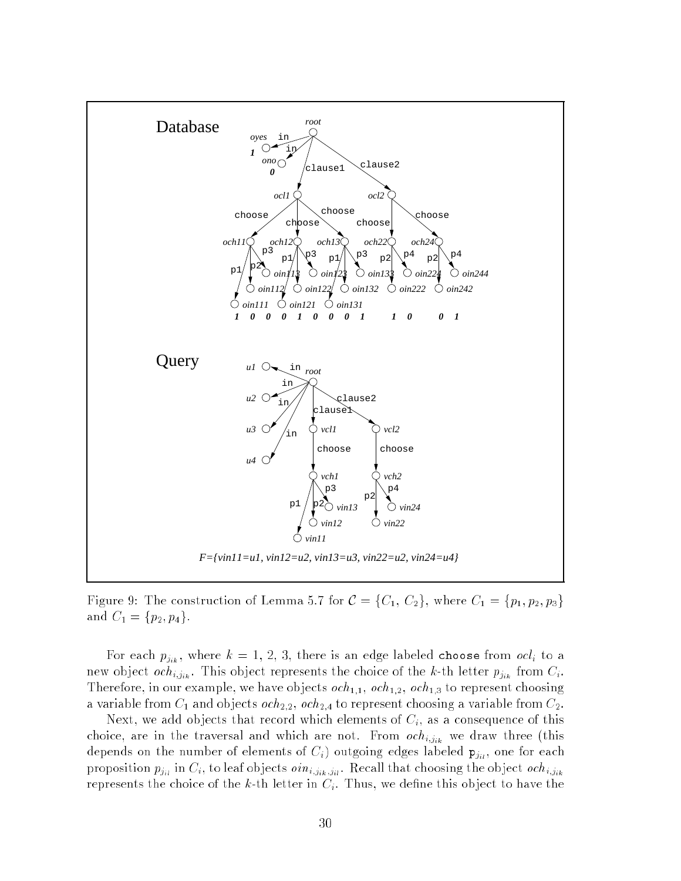

Figure 9: The construction of Lemma 5.7 for  $C = \{C_1, C_2\}$ , where  $C_1 = \{p_1, p_2, p_3\}$ and  $C_1 = \{p_2, p_4\}.$ 

For each  $p_{jik}$ , where  $k = 1, 2, 3$ , there is an edge labeled choose from  $ocl_i$  to a new object och<sub>i,jik</sub>. This object represents the choice of the k-th letter  $p_{j_{ik}}$  from  $C_i$ . Therefore, in our example, we have objects  $och_{1,1}$ ,  $och_{1,2}$ ,  $och_{1,3}$  to represent choosing a variable from  $C_1$  and objects  $och_{2,2}$ ,  $och_{2,4}$  to represent choosing a variable from  $C_2$ .

Next, we add objects that record which elements of  $C_i$ , as a consequence of this choice, are in the traversal and which are not. From  $och_{i,j_{ik}}$  we draw three (this depends on the number of elements of  $C_i$ ) outgoing edges labeled  $\mathbf{p}_{jii}$ , one for each proposition  $p_{j_{il}}$  in  $C_i$ , to leaf objects  $oin_{i,j_{ik},j_{il}}$ . Recall that choosing the object  $och_{i,j_{ik}}$ represents the choice of the  $k$ -th letter in  $C_i$ . Thus, we define this object to have the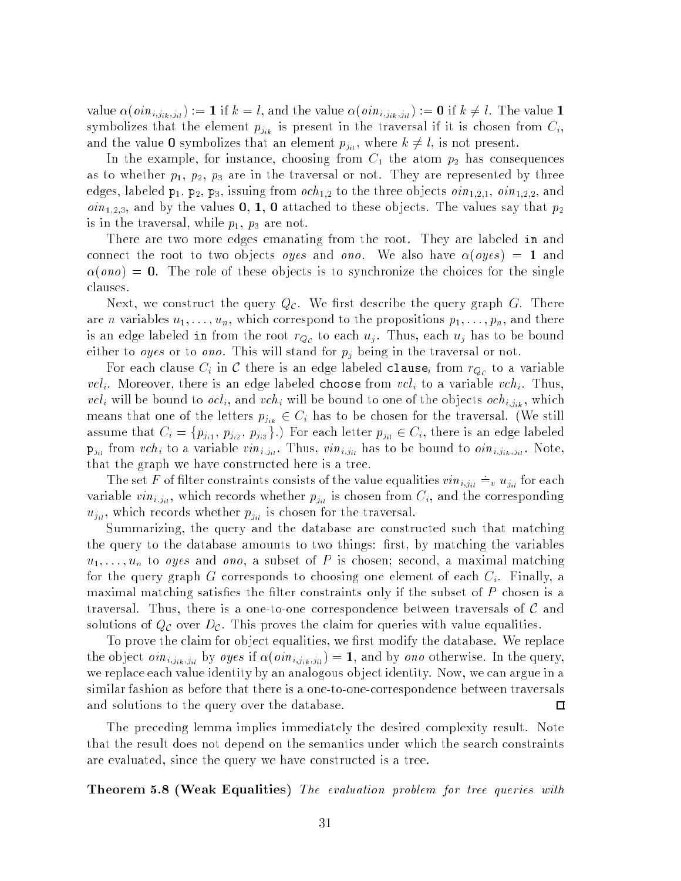value  $\alpha(oin_{i,j_{ik},j_{il}}) := 1$  if  $k = l$ , and the value  $\alpha(oin_{i,j_{ik},j_{il}}) := 0$  if  $k \neq l$ . The value 1 symbolizes that the element  $p_{j_{ik}}$  is present in the traversal if it is chosen from  $C_i$ , and the value 0 symbolizes that an element  $p_{jil}$ , where  $k \neq l$ , is not present.

In the example, for instance, choosing from  $C_1$  the atom  $p_2$  has consequences as to whether  $p_1, p_2, p_3$  are in the traversal or not. They are represented by three edges, labeled  $p_1$ ,  $p_2$ ,  $p_3$ , issuing from  $och_{1,2}$  to the three objects  $oin_{1,2,1}$ ,  $oin_{1,2,2}$ , and  $\text{O}in_{1,2,3}$ , and by the values 0, 1, 0 attached to these objects. The values say that  $p_2$ is in the traversal, while  $p_1$ ,  $p_3$  are not.

There are two more edges emanating from the root. They are labeled in and connect the root to two objects *oyes* and *ono*. We also have  $\alpha(\textit{oyes}) = 1$  and  $\alpha(ono) = 0$ . The role of these objects is to synchronize the choices for the single clauses.

Next, we construct the query  $Q_{\mathcal{C}}$ . We first describe the query graph G. There are *n* variables  $u_1, \ldots, u_n$ , which correspond to the propositions  $p_1, \ldots, p_n$ , and there is an edge labeled in from the root  $r_{Q_c}$  to each  $u_j$ . Thus, each  $u_j$  has to be bound either to oyes or to ono. This will stand for  $p_i$  being in the traversal or not.

For each clause  $C_i$  in C there is an edge labeled clause, from  $r_{Q_c}$  to a variable val is an edge labeled to an edge labeled choose from variable values in the variable values  $\mu$  . Thus, i. value is a bound to occl i, and value to our position to one of the order of the objects of  $\mathbf{y}_{ijk}$  , which means that one of the letters  $p_{j_{ik}} \in C_i$  has to be chosen for the traversal. (We still assume that  $C_i = \{p_{j_{i1}}, p_{j_{i2}}, p_{j_{i3}}\}$ .) For each letter  $p_{j_{i1}} \in C_i$ , there is an edge labeled  $p_{j_{il}}$  from vch; to a variable vin<sub>i,jil</sub>. Thus, vin<sub>i,jil</sub> has to be bound to  $oin_{i,j_{ik},j_{il}}$ . Note, that the graph we have constructed here is a tree.

The set F of filter constraints consists of the value equalities  $vin_{i,j_{il}}$  $\doteq_v u_{j_{il}}$  for each variable  $vin_{i,j_{il}}$ , which records whether  $p_{j_{il}}$  is chosen from  $C_i$ , and the corresponding  $u_{jil}$ , which records whether  $p_{jil}$  is chosen for the traversal.

Summarizing, the query and the database are constructed such that matching the query to the database amounts to two things: first, by matching the variables  $u_1, \ldots, u_n$  to *oyes* and *ono*, a subset of P is chosen; second, a maximal matching for the query graph G corresponds to choosing one element of each  $C_i$ . Finally, a maximal matching satisfies the filter constraints only if the subset of  $P$  chosen is a traversal. Thus, there is a one-to-one correspondence between traversals of  $\mathcal C$  and solutions of  $Q_{\mathcal{C}}$  over  $D_{\mathcal{C}}$ . This proves the claim for queries with value equalities.

To prove the claim for object equalities, we first modify the database. We replace the object  $oin_{i,j_{ik},j_{il}}$  by oyes if  $\alpha(oin_{i,j_{ik},j_{il}}) = 1$ , and by ono otherwise. In the query, we replace each value identity by an analogous ob ject identity. Now, we can argue in a similar fashion as before that there is a one-to-one-correspondence between traversals and solutions to the query over the database.  $\Box$ 

The preceding lemma implies immediately the desired complexity result. Note that the result does not depend on the semantics under which the search constraints are evaluated, since the query we have constructed is a tree.

**Theorem 5.8 (Weak Equalities)** The evaluation problem for tree queries with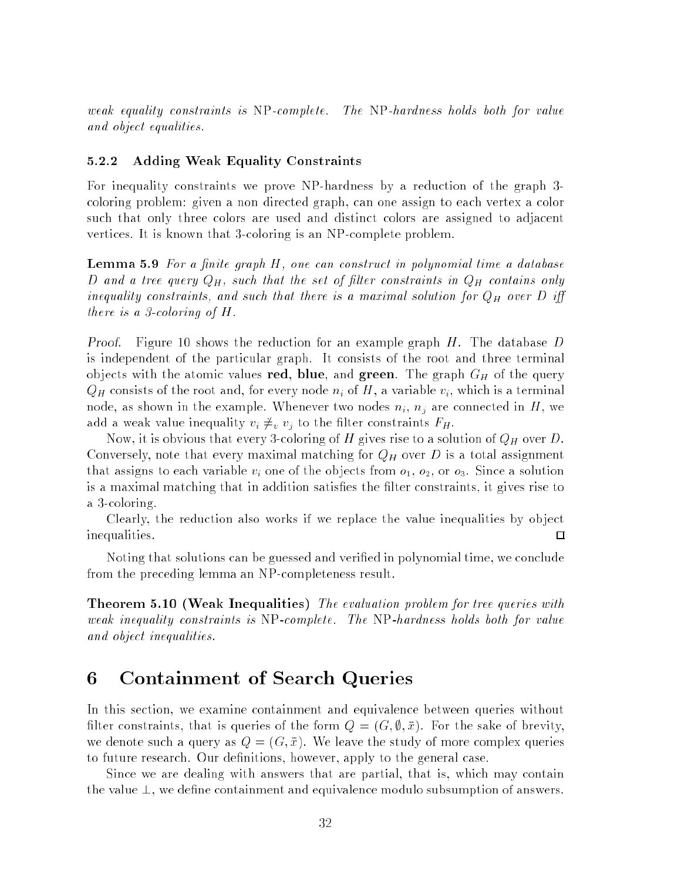weak equality construction is the construction that is not allowed the form for value and on the object of the second control of the second second terms of the second second second second second s

#### $5.2.2$ 5.2.2 Adding Weak Equality Constraints

For inequality constraints we prove NP-hardness by a reduction of the graph 3 coloring problem: given a non directed graph, can one assign to each vertex a color such that only three colors are used and distinct colors are assigned to adjacent vertices. It is known that 3-coloring is an NP-complete problem.

**Lemma 5.9** For a finite graph  $H$ , one can construct in polynomial time a database D and a tree query  $Q_H$ , such that the set of filter constraints in  $Q_H$  contains only inequality constraints, and such that there is a maximal solution for  $Q_H$  over D iff there is <sup>a</sup> 3-coloring of H.

*Proof.* Figure 10 shows the reduction for an example graph  $H$ . The database  $D$ is independent of the particular graph. It consists of the root and three terminal objects with the atomic values red, blue, and green. The graph  $G_H$  of the query  $Q_H$  consists of the root and, for every node  $n_i$  of H, a variable  $v_i$ , which is a terminal node, as shown in the example. Whenever two nodes  $n_i$ ,  $n_j$  are connected in H, we add a weak value inequality  $v_i \neq_v v_j$  to the filter constraints  $F_H$ .

Now, it is obvious that every 3-coloring of  $H$  gives rise to a solution of  $Q_H$  over  $D.$ Conversely, note that every maximal matching for  $Q_H$  over D is a total assignment that assigns to each variable  $v_i$  one of the objects from  $o_1, o_2$ , or  $o_3$ . Since a solution is a maximal matching that in addition satisfies the filter constraints, it gives rise to a 3-coloring.

Clearly, the reduction also works if we replace the value inequalities by ob ject inequalities. 口

Noting that solutions can be guessed and veried in polynomial time, we conclude from the preceding lemma an NP-completeness result.

**Theorem 5.10 (Weak Inequalities)** The evaluation problem for tree queries with weak integrating constraints is NP-complete. The NP-hard for State form for value and our comparations in the company of the company of the company of the company of the company of the company

#### 6 Containment of Search Queries 6

In this section, we examine containment and equivalence between queries without filter constraints, that is queries of the form  $Q = (G, \emptyset, \bar{x})$ . For the sake of brevity, we denote such a query as  $Q = (G, \bar{x})$ . We leave the study of more complex queries to future research. Our definitions, however, apply to the general case.

Since we are dealing with answers that are partial, that is, which may contain the value  $\perp$ , we define containment and equivalence modulo subsumption of answers.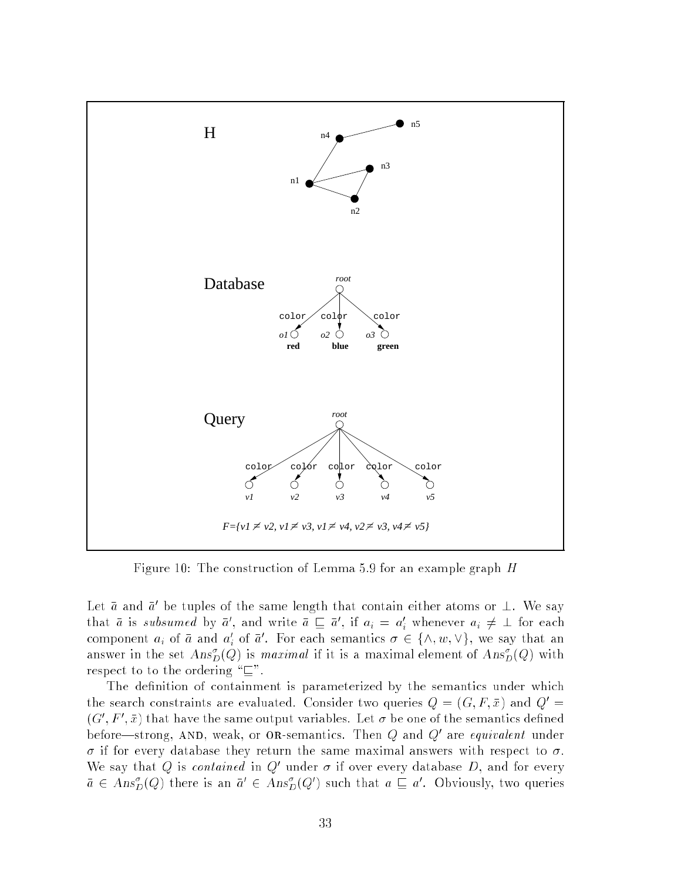

Figure 10: The construction of Lemma 5.9 for an example graph H

Let  $a$  and  $a^{\prime}$  be tuples of the same length that contain either atoms or  $\pm$ . We say that a is subsumed by a', and write  $a \sqsubseteq a'$ , if  $a_i = a_i^{\cdot}$  whenever  $a_i \neq \bot$  for each component  $a_i$  of  $a$  and  $a_i$  of  $a$  . For each semantics  $\sigma \in \{\land, w, \lor\},$  we say that an answer in the set  $Ans_D^{\sigma}(Q)$  is maximal if it is a maximal element of  $Ans_D^{\sigma}(Q)$  with respect to to the ordering " $\sqsubseteq$ ".

The definition of containment is parameterized by the semantics under which the search constraints are evaluated. Consider two queries  $Q = (G, F, \bar{x})$  and  $Q' =$  $(G', F', \bar{x})$  that have the same output variables. Let  $\sigma$  be one of the semantics defined before—strong, AND, weak, or OR-semantics. Then  $Q$  and  $Q'$  are equivalent under  $\sigma$  if for every database they return the same maximal answers with respect to  $\sigma$ . We say that Q is *contained* in Q' under  $\sigma$  if over every database D, and for every  $\bar{a} \in Ans_{D}^{\sigma}(Q)$  there is an  $\bar{a}' \in Ans_{D}^{\sigma}(Q')$  such that  $a \sqsubseteq a'$ . Obviously, two queries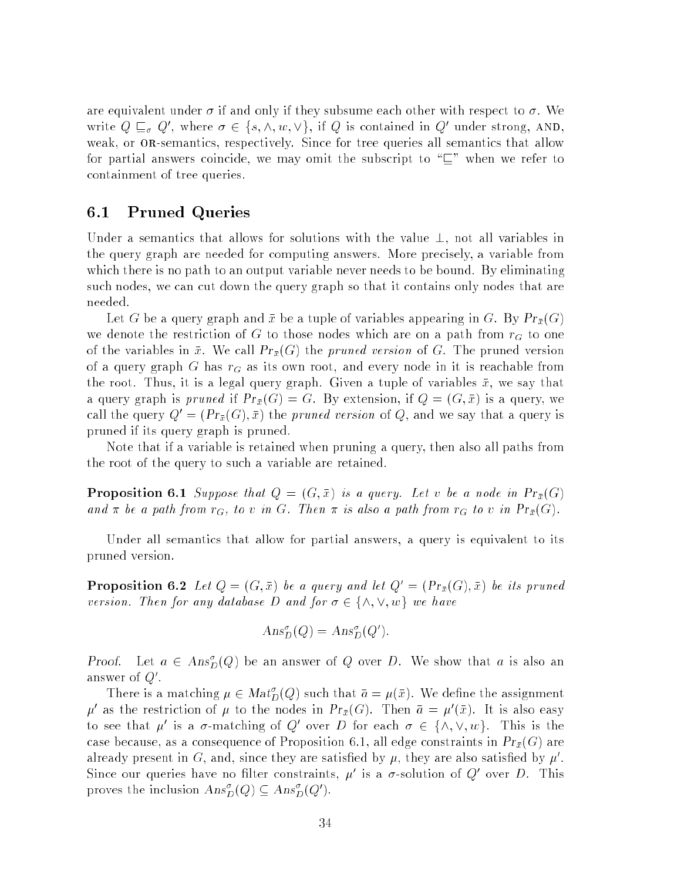are equivalent under  $\sigma$  if and only if they subsume each other with respect to  $\sigma$ . We write  $Q \sqsubseteq_{\sigma} Q'$ , where  $\sigma \in \{s, \wedge, w, \vee\}$ , if Q is contained in Q' under strong, AND, weak, or OR-semantics, respectively. Since for tree queries all semantics that allow for partial answers coincide, we may omit the subscript to " $\mathbb{Z}$ " when we refer to containment of tree queries.

## 6.1 Pruned Queries

Under a semantics that allows for solutions with the value  $\perp$ , not all variables in the query graph are needed for computing answers. More precisely, a variable from which there is no path to an output variable never needs to be bound. By eliminating such nodes, we can cut down the query graph so that it contains only nodes that are needed.

Let G be a query graph and  $\bar{x}$  be a tuple of variables appearing in G. By  $Pr_{\bar{x}}(G)$ we denote the restriction of  $G$  to those nodes which are on a path from  $r<sub>G</sub>$  to one of the variables in  $\bar{x}$ . We call  $Pr_{\bar{x}}(G)$  the pruned version of G. The pruned version of a query graph G has  $r<sub>G</sub>$  as its own root, and every node in it is reachable from the root. Thus, it is a legal query graph. Given a tuple of variables  $\bar{x}$ , we say that a query graph is *pruned* if  $Pr_{\bar{x}}(G) = G$ . By extension, if  $Q = (G, \bar{x})$  is a query, we call the query  $Q' = (Pr_{\bar{x}}(G), \bar{x})$  the pruned version of Q, and we say that a query is pruned if its query graph is pruned.

Note that if a variable is retained when pruning a query, then also all paths from the root of the query to such a variable are retained.

**Proposition 6.1** Suppose that  $Q = (G, \bar{x})$  is a query. Let v be a node in  $Pr_{\bar{x}}(G)$ and  $\pi$  be a path from  $r_G$ , to v in G. Then  $\pi$  is also a path from  $r_G$  to v in  $Pr_{\bar{x}}(G)$ .

Under all semantics that allow for partial answers, a query is equivalent to its pruned version.

**Proposition 6.2** Let  $Q = (G, \bar{x})$  be a query and let  $Q' = (Pr_{\bar{x}}(G), \bar{x})$  be its pruned version. Then for any database D and for  $\sigma \in \{\wedge, \vee, w\}$  we have

$$
Ans_D^{\sigma}(Q) = Ans_D^{\sigma}(Q').
$$

*Proof.* Let  $\bar{a} \in Ans_{D}^{\sigma}(Q)$  be an answer of Q over D. We show that  $\bar{a}$  is also an answer of  $Q^{\prime}.$ 

There is a matching  $\mu \in Mat_D^{\sigma}(Q)$  such that  $\bar{a} = \mu(\bar{x})$ . We define the assignment  $\mu'$  as the restriction of  $\mu$  to the nodes in  $Pr_{\bar{x}}(G)$ . Then  $\bar{a} = \mu'(\bar{x})$ . It is also easy to see that  $\mu'$  is a  $\sigma$ -matching of  $Q'$  over D for each  $\sigma \in \{\wedge, \vee, w\}$ . This is the case because, as a consequence of Proposition 6.1, all edge constraints in  $Pr_{\bar{x}}(G)$  are already present in G, and, since they are satisfied by  $\mu$ , they are also satisfied by  $\mu'$ . Since our queries have no filter constraints,  $\mu'$  is a  $\sigma$ -solution of  $Q'$  over  $D.$  This proves the inclusion  $Ans_{D}^{\sigma}(Q) \subseteq Ans_{D}^{\sigma}(Q')$ .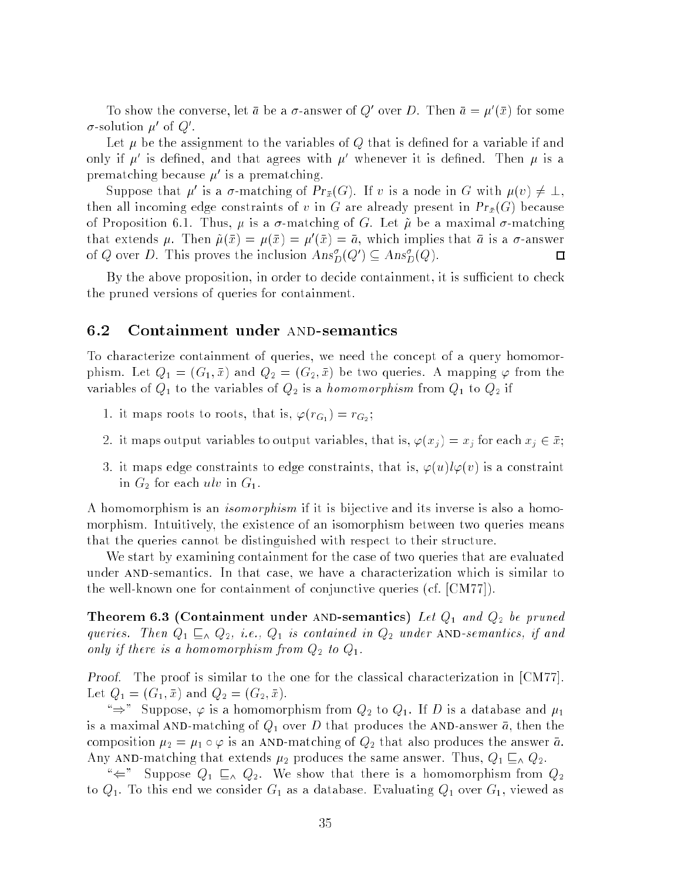To show the converse, let  $\bar a$  be a  $\sigma$ -answer of  $Q'$  over  $D$ . Then  $\bar a = \mu'(\bar x)$  for some  $\sigma$ -solution  $\mu'$  of  $Q'$ .

Let  $\mu$  be the assignment to the variables of Q that is defined for a variable if and only if  $\mu$  is defined, and that agrees with  $\mu$  whenever it is defined. Then  $\mu$  is a prematching because  $\mu^*$  is a prematching.

Suppose that  $\mu'$  is a  $\sigma$ -matching of  $Pr_{\bar{x}}(G)$ . If v is a node in G with  $\mu(v) \neq \bot$ , then all incoming edge constraints of v in G are already present in  $Pr_{\bar{x}}(G)$  because of Proposition 6.1. Thus,  $\mu$  is a  $\sigma$ -matching of G. Let  $\tilde{\mu}$  be a maximal  $\sigma$ -matching that extends  $\mu$ . Then  $\mu(x) = \mu(x) = \mu^{\cdot}(x) = a,$  which implies that  $a$  is a  $\sigma$ -answer of Q over D. This proves the inclusion  $Ans_{D}^{\sigma}(Q') \subseteq Ans_{D}^{\sigma}(Q)$ . 口

By the above proposition, in order to decide containment, it is sufficient to check the pruned versions of queries for containment.

## 6.2 Containment under AND-semantics

To characterize containment of queries, we need the concept of a query homomorphism. Let  $Q_1 = (G_1, \bar{x})$  and  $Q_2 = (G_2, \bar{x})$  be two queries. A mapping  $\varphi$  from the variables of  $Q_1$  to the variables of  $Q_2$  is a *homomorphism* from  $Q_1$  to  $Q_2$  if

- 1. It maps roots to roots, that is,  $\varphi(r_{G_1}) = r_{G_2};$
- 2. it maps output variables to output variables, that is,  $\varphi(x_j) = x_j$  for each  $x_j \in \bar{x}$ ;
- 3. it maps edge constraints to edge constraints, that is,  $\varphi(u)l\varphi(v)$  is a constraint in  $G_2$  for each ulv in  $G_1$ .

A homomorphism is an isomorphism if it is bijective and its inverse is also a homomorphism. Intuitively, the existence of an isomorphism between two queries means that the queries cannot be distinguished with respect to their structure.

We start by examining containment for the case of two queries that are evaluated under AND-semantics. In that case, we have a characterization which is similar to the well-known one for containment of conjunctive queries (cf. [CM77]).

Theorem 6.3 (Containment under AND-semantics) Let  $Q_1$  and  $Q_2$  be pruned queries. Then  $Q_1 \sqsubseteq_{\wedge} Q_2$ , i.e.,  $Q_1$  is contained in  $Q_2$  under AND-semantics, if and only if there is a homomorphism from  $Q_2$  to  $Q_1$ .

Proof. The proof is similar to the one for the classical characterization in [CM77]. Let  $Q_1 = (G_1, \bar{x})$  and  $Q_2 = (G_2, \bar{x})$ .

" $\Rightarrow$ " Suppose,  $\varphi$  is a homomorphism from  $Q_2$  to  $Q_1$ . If D is a database and  $\mu_1$ is a maximal AND-matching of  $Q_1$  over D that produces the AND-answer  $\bar{a}$ , then the composition  $\mu_2 = \mu_1 \circ \varphi$  is an AND-matching of  $Q_2$  that also produces the answer  $\bar{a}$ . Any AND-matching that extends  $\mu_2$  produces the same answer. Thus,  $Q_1 \sqsubseteq_A Q_2$ .

" $\Leftarrow$ " Suppose  $Q_1 \sqsubseteq_A Q_2$ . We show that there is a homomorphism from  $Q_2$ to  $Q_1$ . To this end we consider  $G_1$  as a database. Evaluating  $Q_1$  over  $G_1$ , viewed as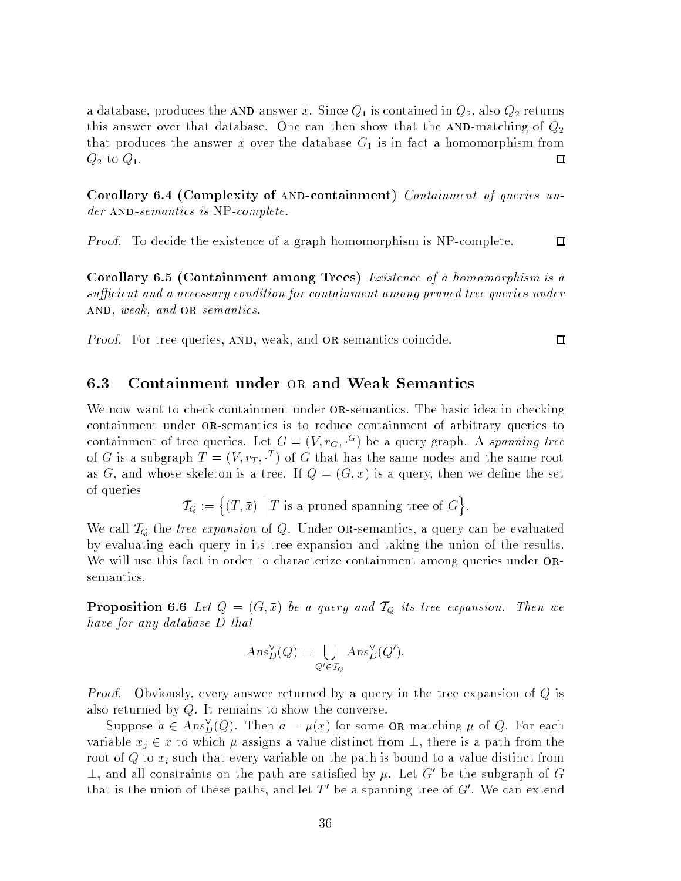a database, produces the AND-answer  $\bar{x}$ . Since  $Q_1$  is contained in  $Q_2$ , also  $Q_2$  returns this answer over that database. One can then show that the AND-matching of  $Q_2$ that produces the answer  $\bar{x}$  over the database  $G_1$  is in fact a homomorphism from  $Q_2$  to  $Q_1$ .  $\Box$ 

Corollary 6.4 (Complexity of AND-containment) Containment of queries under and-semanticated is not complete.

Proof. To decide the existence of a graph homomorphism is NP-complete.  $\Box$ 

Corollary 6.5 (Containment among Trees) Existence of <sup>a</sup> homomorphism is <sup>a</sup> sucient and a necessary condition for containment among pruned tree queries under AND, weak, and OR-semantics.

Proof. For tree queries, AND, weak, and OR-semantics coincide.

## 6.3 Containment under or and Weak Semantics

We now want to check containment under OR-semantics. The basic idea in checking containment under OR-semantics is to reduce containment of arbitrary queries to containment of tree queries. Let  $G = (V, r_G, G)$  be a query graph. A spanning tree of G is a subgraph  $T=(V,r_T, V)$  of G that has the same nodes and the same root as G, and whose skeleton is a tree. If  $Q = (G, \bar{x})$  is a query, then we define the set of queries

 $\mathcal{T}_Q := \{(T,\bar{x}) \mid T \text{ is a pruned spanning tree of } G\}$ :

We call  $\mathcal{T}_Q$  the *tree expansion* of Q. Under OR-semantics, a query can be evaluated by evaluating each query in its tree expansion and taking the union of the results. We will use this fact in order to characterize containment among queries under ORsemantics.

**Proposition 6.6** Let  $Q = (G, \bar{x})$  be a query and  $\mathcal{T}_Q$  its tree expansion. Then we have for any database D that

$$
Ans_D^{\vee}(Q) = \bigcup_{Q' \in \mathcal{T}_Q} Ans_D^{\vee}(Q').
$$

Proof. Obviously, every answer returned by a query in the tree expansion of Q is also returned by Q. It remains to show the converse.

Suppose  $\bar{a} \in Ans_D^{\vee}(Q)$ . Then  $\bar{a} = \mu(\bar{x})$  for some OR-matching  $\mu$  of Q. For each variable  $x_j \in \bar{x}$  to which  $\mu$  assigns a value distinct from  $\bot$ , there is a path from the root of  $Q$  to  $x_i$  such that every variable on the path is bound to a value distinct from  $\perp$ , and all constraints on the path are satisfied by  $\mu$ . Let G' be the subgraph of G that is the union of these paths, and let T' be a spanning tree of G'. We can extend

 $\Box$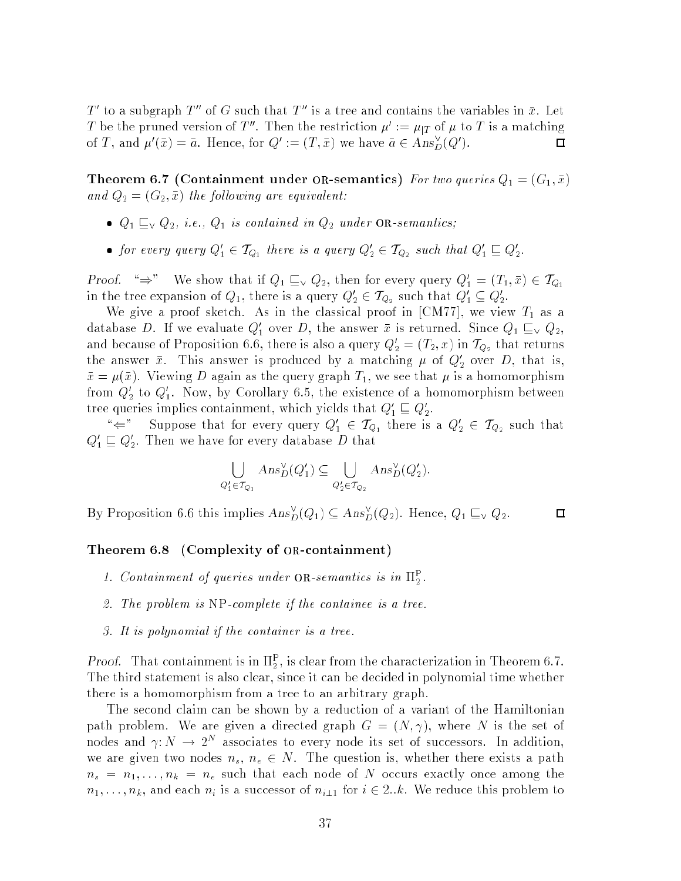T' to a subgraph T'' of G such that T'' is a tree and contains the variables in  $\bar{x}$ . Let  $T$  be the pruned version of  $T''$ . Then the restriction  $\mu':=\mu_{|T}$  of  $\mu$  to  $T$  is a matching of T, and  $\mu'(\bar{x}) = \bar{a}$ . Hence, for  $Q' := (T, \bar{x})$  we have  $\bar{a} \in Ans_D^{\vee}(Q')$ . □

Theorem 6.7 (Containment under OR-semantics) For two queries  $Q_1 = (G_1, \bar{x})$ and  $Q_2 = (G_2, \bar{x})$  the following are equivalent:

- $Q_1 \sqsubseteq_{\vee} Q_2$ , i.e.,  $Q_1$  is contained in  $Q_2$  under OR-semantics;
- for every query  $Q_1' \in \mathcal{T}_{Q_1}$  there is a query  $Q_2' \in \mathcal{T}_{Q_2}$  such that  $Q_1' \sqsubseteq Q_2'$ .

*Proof.* " $\Rightarrow$ " We show that if  $Q_1 \sqsubseteq_{\vee} Q_2$ , then for every query  $Q_1' = (T_1, \bar{x}) \in T_{Q_1}$ in the tree expansion of  $Q_1$ , there is a query  $Q'_2 \in \mathcal{T}_{Q_2}$  such that  $Q'_1 \subseteq Q'_2$ .

We give a proof sketch. As in the classical proof in [CM77], we view  $T_1$  as a database  $D.$  If we evaluate  $Q_1'$  over  $D,$  the answer  $\bar x$  is returned. Since  $Q_1 \sqsubseteq_{\vee} Q_2,$ and because of Proposition 6.6, there is also a query  $Q_2' = (T_2, \bar{x})$  in  $\mathcal{T}_{Q_2}$  that returns the answer  $\bar{x}.$  This answer is produced by a matching  $\mu$  of  $Q_2'$  over  $D,$  that is,  $\bar{x} = \mu(\bar{x})$ . Viewing D again as the query graph  $T_1$ , we see that  $\mu$  is a homomorphism from  $Q_2'$  to  $Q_1'$ . Now, by Corollary 6.5, the existence of a homomorphism between tree queries implies containment, which yields that  $Q'_1 \sqsubseteq Q'_2$ .

" $\Leftarrow$ " Suppose that for every query  $Q'_1 \in \mathcal{T}_{Q_1}$  there is a  $Q'_2 \in \mathcal{T}_{Q_2}$  such that  $Q'_1 \sqsubseteq Q'_2$ . Then we have for every database D that

$$
\bigcup_{Q_1' \in \mathcal{T}_{Q_1}} \operatorname{Ans}_{D}^{\vee}(Q_1') \subseteq \bigcup_{Q_2' \in \mathcal{T}_{Q_2}} \operatorname{Ans}_{D}^{\vee}(Q_2').
$$

By Proposition 6.6 this implies  $Ans_D^{\vee}(Q_1) \subseteq Ans_D^{\vee}(Q_2)$ . Hence,  $Q_1 \sqsubseteq_{\vee} Q_2$ .

### $\Box$

### Theorem 6.8 (Complexity of OR-containment)

- 1. Containment of queries under  $\sigma_{\rm R}$ -semantics is in  ${\rm H_2}$ .
- 2. The problem is NP-complete if the containee is <sup>a</sup> tree.
- 3. It is polynomial if the container is <sup>a</sup> tree.

*Proof.* That containment is in  $\text{H}_2$ , is clear from the characterization in Theorem 0.7. The third statement is also clear, since it can be decided in polynomial time whether there is a homomorphism from a tree to an arbitrary graph.

The second claim can be shown by a reduction of a variant of the Hamiltonian path problem. We are given a directed graph  $G = (N, \gamma)$ , where N is the set of nodes and  $\gamma: N \to 2^N$  associates to every node its set of successors. In addition, we are given two nodes  $n_s, n_e \in N$ . The question is, whether there exists a path  $n_s = n_1, \ldots, n_k = n_e$  such that each node of N occurs exactly once among the  $n_1, \ldots, n_k$ , and each  $n_i$  is a successor of  $n_{i\perp 1}$  for  $i \in 2...k$ . We reduce this problem to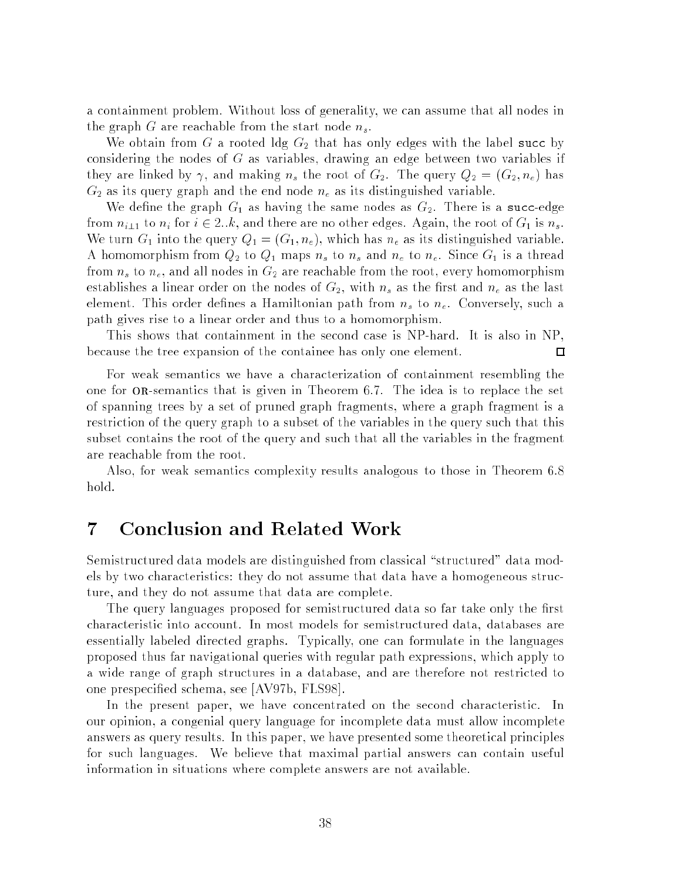a containment problem. Without loss of generality, we can assume that all nodes in the graph G are reachable from the start node  $n_s$ .

We obtain from G a rooted ldg  $G_2$  that has only edges with the label succ by considering the nodes of  $G$  as variables, drawing an edge between two variables if they are linked by  $\gamma$ , and making  $n_s$  the root of  $G_2$ . The query  $Q_2 = (G_2, n_e)$  has  $G_2$  as its query graph and the end node  $n_e$  as its distinguished variable.

We define the graph  $G_1$  as having the same nodes as  $G_2$ . There is a succ-edge from  $n_{i\perp 1}$  to  $n_i$  for  $i \in 2..k$ , and there are no other edges. Again, the root of  $G_1$  is  $n_s$ . We turn  $G_1$  into the query  $Q_1 = (G_1, n_e)$ , which has  $n_e$  as its distinguished variable. A homomorphism from  $Q_2$  to  $Q_1$  maps  $n_s$  to  $n_s$  and  $n_e$  to  $n_e$ . Since  $G_1$  is a thread from  $n_s$  to  $n_e$ , and all nodes in  $G_2$  are reachable from the root, every homomorphism establishes a linear order on the nodes of  $G_2$ , with  $n_s$  as the first and  $n_e$  as the last element. This order defines a Hamiltonian path from  $n_s$  to  $n_e$ . Conversely, such a path gives rise to a linear order and thus to a homomorphism.

This shows that containment in the second case is NP-hard. It is also in NP, because the tree expansion of the containee has only one element. 囗

For weak semantics we have a characterization of containment resembling the one for OR-semantics that is given in Theorem 6.7. The idea is to replace the set of spanning trees by a set of pruned graph fragments, where a graph fragment is a restriction of the query graph to a subset of the variables in the query such that this subset contains the root of the query and such that all the variables in the fragment are reachable from the root.

Also, for weak semantics complexity results analogous to those in Theorem 6.8 hold.

#### $\overline{7}$ **Conclusion and Related Work**

Semistructured data models are distinguished from classical "structured" data models by two characteristics: they do not assume that data have a homogeneous structure, and they do not assume that data are complete.

The query languages proposed for semistructured data so far take only the first characteristic into account. In most models for semistructured data, databases are essentially labeled directed graphs. Typically, one can formulate in the languages proposed thus far navigational queries with regular path expressions, which apply to a wide range of graph structures in a database, and are therefore not restricted to one prespecied schema, see [AV97b, FLS98].

In the present paper, we have concentrated on the second characteristic. In our opinion, a congenial query language for incomplete data must allow incomplete answers as query results. In this paper, we have presented some theoretical principles for such languages. We believe that maximal partial answers can contain useful information in situations where complete answers are not available.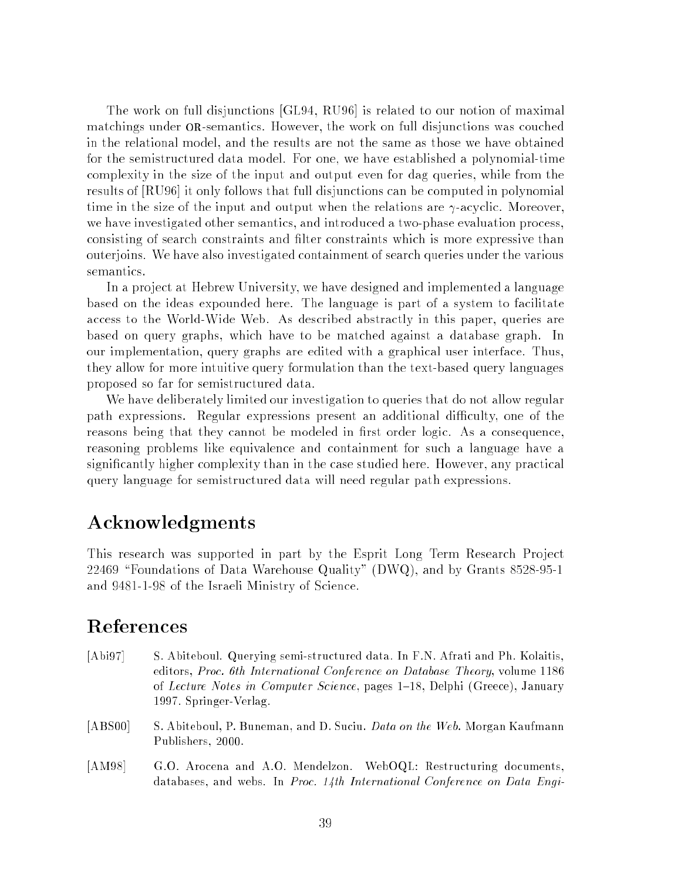The work on full disjunctions [GL94, RU96] is related to our notion of maximal matchings under OR-semantics. However, the work on full disjunctions was couched in the relational model, and the results are not the same as those we have obtained for the semistructured data model. For one, we have established a polynomial-time complexity in the size of the input and output even for dag queries, while from the results of [RU96] it only follows that full disjunctions can be computed in polynomial time in the size of the input and output when the relations are  $\gamma$ -acyclic. Moreover, we have investigated other semantics, and introduced a two-phase evaluation process, consisting of search constraints and lter constraints which is more expressive than outerjoins. We have also investigated containment of search queries under the various

In a project at Hebrew University, we have designed and implemented a language based on the ideas expounded here. The language is part of a system to facilitate access to the World-Wide Web. As described abstractly in this paper, queries are based on query graphs, which have to be matched against a database graph. In our implementation, query graphs are edited with a graphical user interface. Thus, they allow for more intuitive query formulation than the text-based query languages proposed so far for semistructured data.

We have deliberately limited our investigation to queries that do not allow regular path expressions. Regular expressions present an additional difficulty, one of the reasons being that they cannot be modeled in first order logic. As a consequence, reasoning problems like equivalence and containment for such a language have a signicantly higher complexity than in the case studied here. However, any practical query language for semistructured data will need regular path expressions.

## Acknowledgments

This research was supported in part by the Esprit Long Term Research Project 22469 "Foundations of Data Warehouse Quality" (DWQ), and by Grants 8528-95-1 and 9481-1-98 of the Israeli Ministry of Science.

## References

- [Abi97] S. Abiteboul. Querying semi-structured data. In F.N. Afrati and Ph. Kolaitis, editors, Proc. 6th International Conference on Database Theory, volume 1186 of Lecture Notes in Computer Science, pages 1–18, Delphi (Greece), January 1997. Springer-Verlag.
- [ABS00] S. Abiteboul, P. Buneman, and D. Suciu. Data on the Web. Morgan Kaufmann Publishers, 2000.
- [AM98] G.O. Arocena and A.O. Mendelzon. WebOQL: Restructuring documents, databases, and webs. In Proc. 14th International Conference on Data Engi-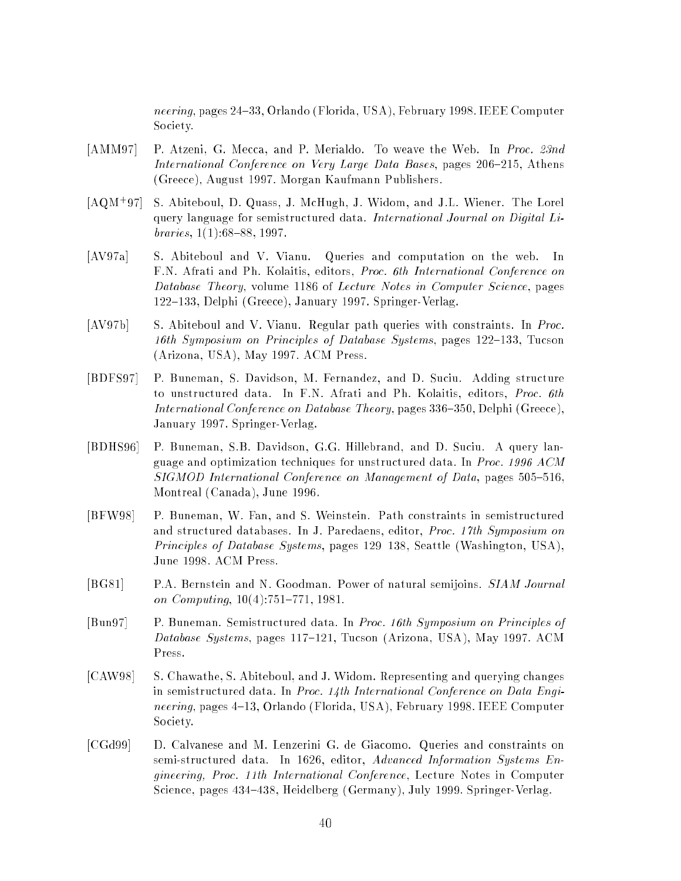neering, pages 24–33, Orlando (Florida, USA), February 1998. IEEE Computer Society.

- [AMM97] P. Atzeni, G. Mecca, and P. Merialdo. To weave the Web. In Proc. 23nd International Conference on Very Large Data Bases, pages 206-215, Athens (Greece), August 1997. Morgan Kaufmann Publishers.
- $[AQM+97]$ S. Abiteboul, D. Quass, J. McHugh, J. Widom, and J.L. Wiener. The Lorel query language for semistructured data. International Journal on Digital Li $braries, 1(1):68–88, 1997.$
- [AV97a] S. Abiteboul and V. Vianu. Queries and computation on the web. In F.N. Afrati and Ph. Kolaitis, editors, Proc. 6th International Conference on Database Theory, volume 1186 of Lecture Notes in Computer Science, pages 122–133, Delphi (Greece), January 1997. Springer-Verlag.
- [AV97b] S. Abiteboul and V. Vianu. Regular path queries with constraints. In Proc. 16th Symposium on Principles of Database Systems, pages  $122-133$ , Tucson (Arizona, USA), May 1997. ACM Press.
- [BDFS97] P. Buneman, S. Davidson, M. Fernandez, and D. Suciu. Adding structure to unstructured data. In F.N. Afrati and Ph. Kolaitis, editors, Proc. 6th International Conference on Database Theory, pages  $336{\text -}350$ , Delphi (Greece), January 1997. Springer-Verlag.
- [BDHS96] P. Buneman, S.B. Davidson, G.G. Hillebrand, and D. Suciu. A query language and optimization techniques for unstructured data. In Proc. 1996 ACM  $SIGMOD$  International Conference on Management of Data, pages  $505{-}516$ . Montreal (Canada), June 1996.
- [BFW98] P. Buneman, W. Fan, and S. Weinstein. Path constraints in semistructured and structured databases. In J. Paredaens, editor, Proc. 17th Symposium on *Principles of Database Systems*, pages  $129{-}138$ , Seattle (Washington, USA). June 1998. ACM Press.
- [BG81] P.A. Bernstein and N. Goodman. Power of natural semijoins. SIAM Journal on Computing,  $10(4):751-771$ ,  $1981$ .
- [Bun97] P. Buneman. Semistructured data. In Proc. 16th Symposium on Principles of Database Systems, pages 117-121, Tucson (Arizona, USA), May 1997. ACM Press.
- [CAW98] S. Chawathe, S. Abiteboul, and J. Widom. Representing and querying changes in semistructured data. In Proc. 14th International Conference on Data Engineering, pages 4-13, Orlando (Florida, USA), February 1998. IEEE Computer Society.
- [CGd99] D. Calvanese and M. Lenzerini G. de Giacomo. Queries and constraints on semi-structured data. In 1626, editor, Advanced Information Systems Engineering, Proc. 11th International Conference, Lecture Notes in Computer Science, pages 434–438, Heidelberg (Germany), July 1999. Springer-Verlag.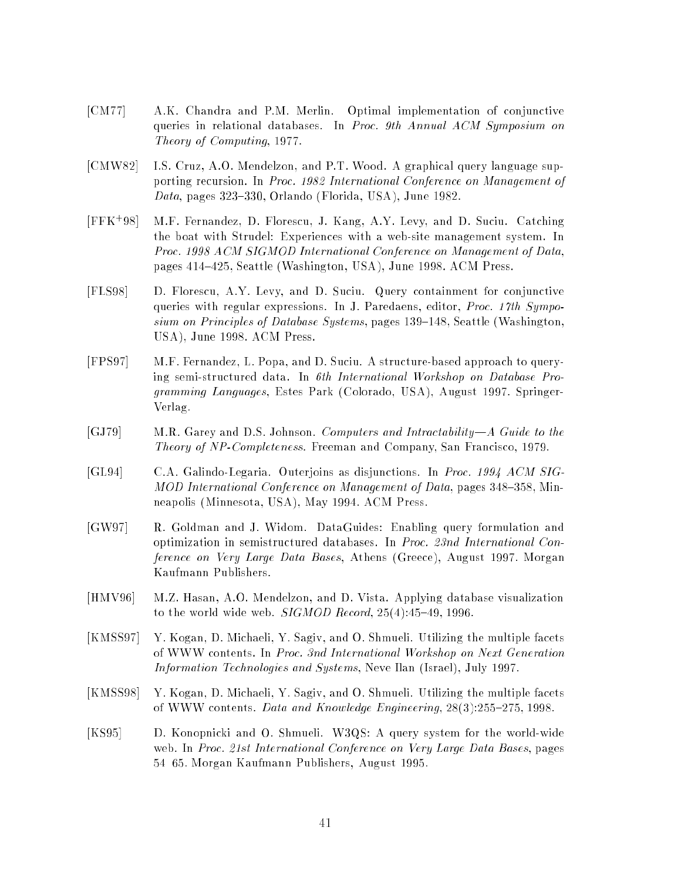- [CM77] A.K. Chandra and P.M. Merlin. Optimal implementation of conjunctive queries in relational databases. In Proc. 9th Annual ACM Symposium on Theory of Computing, 1977.
- [CMW82] I.S. Cruz, A.O. Mendelzon, and P.T. Wood. A graphical query language supporting recursion. In Proc. 1982 International Conference on Management of Data, pages 323-330, Orlando (Florida, USA), June 1982.
- $[FFK+98]$ 98] M.F. Fernandez, D. Florescu, J. Kang, A.Y. Levy, and D. Suciu. Catching the boat with Strudel: Experiences with a web-site management system. In Proc. 1998 ACM SIGMOD International Conference on Management of Data, pages 414-425, Seattle (Washington, USA), June 1998. ACM Press.
- [FLS98] D. Florescu, A.Y. Levy, and D. Suciu. Query containment for conjunctive queries with regular expressions. In J. Paredaens, editor, Proc. 17th Symposium on Principles of Database Systems, pages  $139-148$ , Seattle (Washington, USA), June 1998. ACM Press.
- [FPS97] M.F. Fernandez, L. Popa, and D. Suciu. A structure-based approach to querying semi-structured data. In 6th International Workshop on Database Programming Languages, Estes Park (Colorado, USA), August 1997. Springer-Verlag.
- [GJ79] M.R. Garey and D.S. Johnson. Computers and Intractability—A Guide to the Theory of NP-Completeness. Freeman and Company, San Francisco, 1979.
- [GL94] C.A. Galindo-Legaria. Outerjoins as disjunctions. In Proc. 1994 ACM SIG-MOD International Conference on Management of Data, pages 348-358, Minneapolis (Minnesota, USA), May 1994. ACM Press.
- [GW97] R. Goldman and J. Widom. DataGuides: Enabling query formulation and optimization in semistructured databases. In Proc. 23nd International Conference on Very Large Data Bases, Athens (Greece), August 1997. Morgan Kaufmann Publishers.
- [HMV96] M.Z. Hasan, A.O. Mendelzon, and D. Vista. Applying database visualization to the world wide web.  $SIGMOD$  Record, 25(4):45-49, 1996.
- [KMSS97] Y. Kogan, D. Michaeli, Y. Sagiv, and O. Shmueli. Utilizing the multiple facets of WWW contents. In Proc. 3nd International Workshop on Next Generation Information Technologies and Systems, Neve Ilan (Israel), July 1997.
- [KMSS98] Y. Kogan, D. Michaeli, Y. Sagiv, and O. Shmueli. Utilizing the multiple facets of WWW contents. Data and Knowledge Engineering,  $28(3):255-275$ , 1998.
- [KS95] D. Konopnicki and O. Shmueli. W3QS: A query system for the world-wide web. In Proc. 21st International Conference on Very Large Data Bases, pages 54{65. Morgan Kaufmann Publishers, August 1995.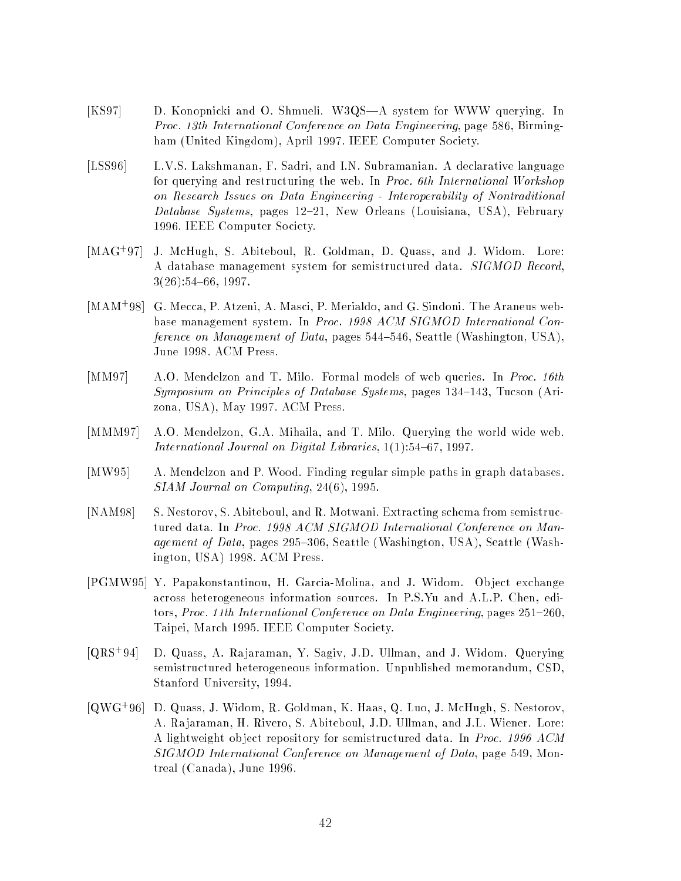- [KS97] D. Konopnicki and O. Shmueli. W3QS-A system for WWW querying. In Proc. 13th International Conference on Data Engineering, page 586, Birmingham (United Kingdom), April 1997. IEEE Computer Society.
- [LSS96] L.V.S. Lakshmanan, F. Sadri, and I.N. Subramanian. A declarative language for querying and restructuring the web. In Proc. 6th International Workshop on Research Issues on Data Engineering - Interoperability of Nontraditional Database Systems, pages  $12-21$ , New Orleans (Louisiana, USA), February 1996. IEEE Computer Society.
- $[MAG+97]$ J. McHugh, S. Abiteboul, R. Goldman, D. Quass, and J. Widom. Lore: A database management system for semistructured data. SIGMOD Record,  $3(26):54{-}66, 1997.$
- [MAM<sup>+</sup> 98] G. Mecca, P. Atzeni, A. Masci, P. Merialdo, and G. Sindoni. The Araneus webbase management system. In Proc. 1998 ACM SIGMOD International Conference on Management of Data, pages  $544-546$ , Seattle (Washington, USA), June 1998. ACM Press.
- [MM97] A.O. Mendelzon and T. Milo. Formal models of web queries. In Proc. 16th Symposium on Principles of Database Systems, pages  $134-143$ , Tucson (Arizona, USA), May 1997. ACM Press.
- [MMM97] A.O. Mendelzon, G.A. Mihaila, and T. Milo. Querying the world wide web. International Journal on Digital Libraries,  $1(1):54-67$ , 1997.
- [MW95] A. Mendelzon and P. Wood. Finding regular simple paths in graph databases. SIAM Journal on Computing, 24(6), 1995.
- [NAM98] S. Nestorov, S. Abiteboul, and R. Motwani. Extracting schema from semistructured data. In Proc. 1998 ACM SIGMOD International Conference on Management of Data, pages 295-306, Seattle (Washington, USA), Seattle (Washington, USA) 1998. ACM Press.
- [PGMW95] Y. Papakonstantinou, H. Garcia-Molina, and J. Widom. Ob ject exchange across heterogeneous information sources. In P.S.Yu and A.L.P. Chen, editors, Proc. 11th International Conference on Data Engineering, pages  $251{-}260$ . Taipei, March 1995. IEEE Computer Society.
- $[QRS+94]$ D. Quass, A. Rajaraman, Y. Sagiv, J.D. Ullman, and J. Widom. Querying semistructured heterogeneous information. Unpublished memorandum, CSD, Stanford University, 1994.
- [QWG<sup>+</sup> 96] D. Quass, J. Widom, R. Goldman, K. Haas, Q. Luo, J. McHugh, S. Nestorov, A. Ra jaraman, H. Rivero, S. Abiteboul, J.D. Ullman, and J.L. Wiener. Lore: A lightweight ob ject repository for semistructured data. In Proc. 1996 ACM SIGMOD International Conference on Management of Data, page 549, Montreal (Canada), June 1996.